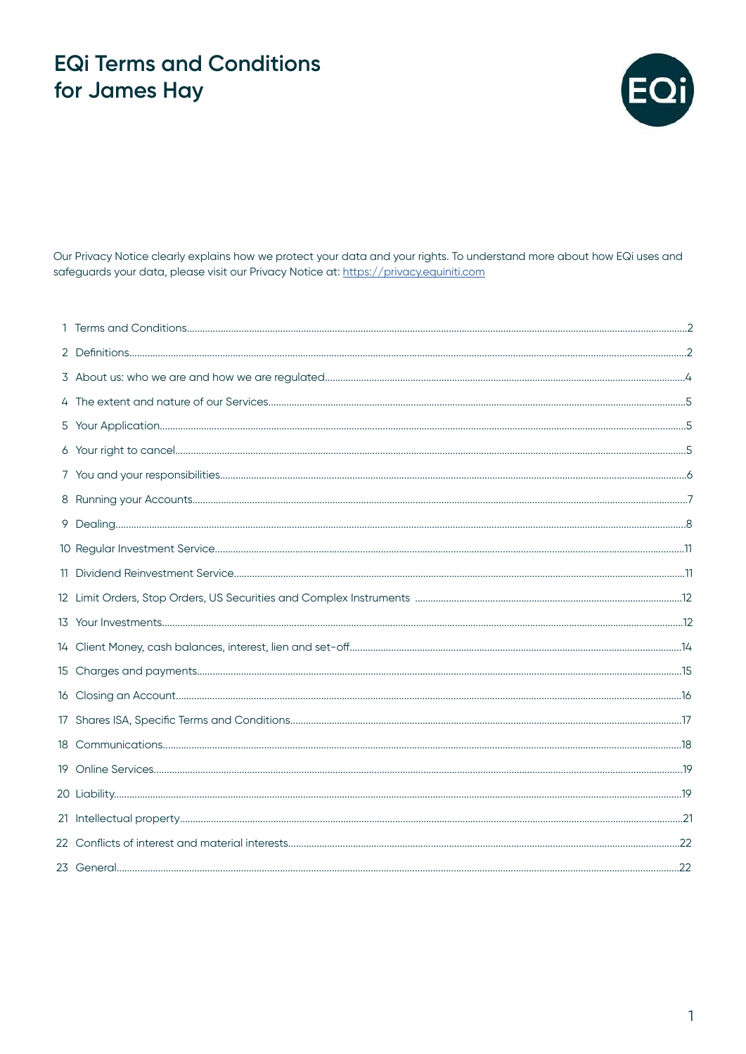

Our Privacy Notice clearly explains how we protect your data and your rights. To understand more about how EQi uses and safeguards your data, please visit our Privacy Notice at: https://privacy.equiniti.com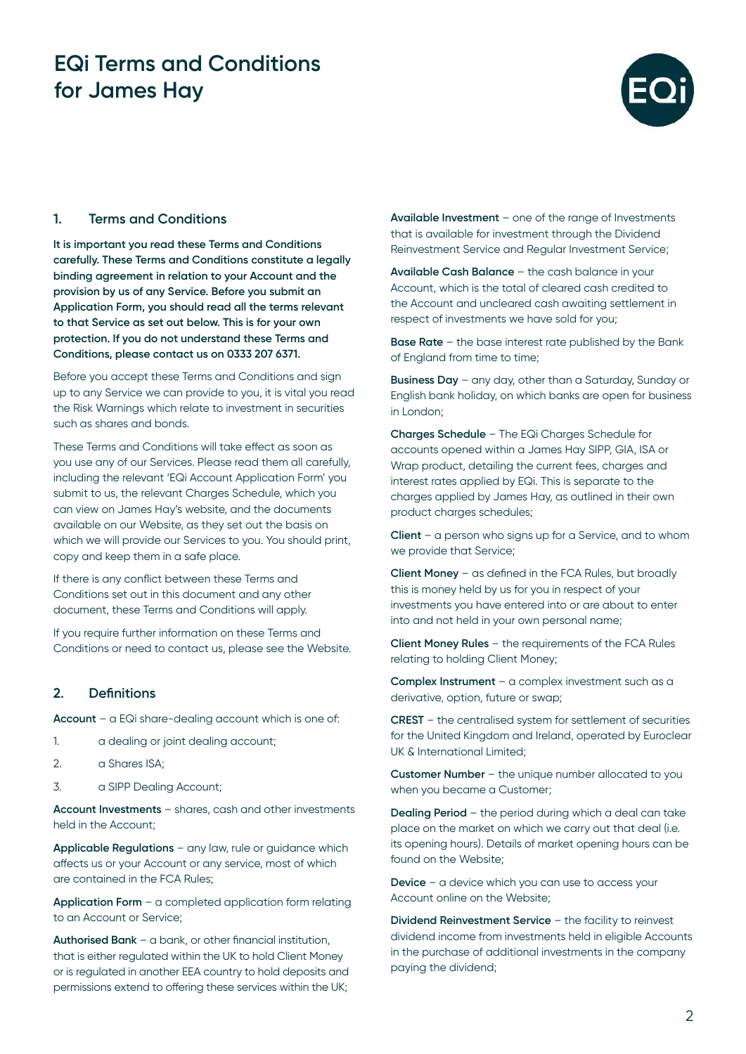

### **1. Terms and Conditions**

**It is important you read these Terms and Conditions carefully. These Terms and Conditions constitute a legally binding agreement in relation to your Account and the provision by us of any Service. Before you submit an Application Form, you should read all the terms relevant to that Service as set out below. This is for your own protection. If you do not understand these Terms and Conditions, please contact us on 0333 207 6371.**

Before you accept these Terms and Conditions and sign up to any Service we can provide to you, it is vital you read the Risk Warnings which relate to investment in securities such as shares and bonds.

These Terms and Conditions will take effect as soon as you use any of our Services. Please read them all carefully, including the relevant 'EQi Account Application Form' you submit to us, the relevant Charges Schedule, which you can view on James Hay's website, and the documents available on our Website, as they set out the basis on which we will provide our Services to you. You should print, copy and keep them in a safe place.

If there is any conflict between these Terms and Conditions set out in this document and any other document, these Terms and Conditions will apply.

If you require further information on these Terms and Conditions or need to contact us, please see the Website.

#### **2. Definitions**

**Account** – a EQi share-dealing account which is one of:

- 1. a dealing or joint dealing account;
- 2. a Shares ISA:
- 3. a SIPP Dealing Account;

**Account Investments** – shares, cash and other investments held in the Account;

**Applicable Regulations** – any law, rule or guidance which affects us or your Account or any service, most of which are contained in the FCA Rules;

**Application Form** – a completed application form relating to an Account or Service;

**Authorised Bank** – a bank, or other financial institution, that is either regulated within the UK to hold Client Money or is regulated in another EEA country to hold deposits and permissions extend to offering these services within the UK;

**Available Investment** – one of the range of Investments that is available for investment through the Dividend Reinvestment Service and Regular Investment Service;

**Available Cash Balance** – the cash balance in your Account, which is the total of cleared cash credited to the Account and uncleared cash awaiting settlement in respect of investments we have sold for you;

**Base Rate** – the base interest rate published by the Bank of England from time to time;

**Business Day** – any day, other than a Saturday, Sunday or English bank holiday, on which banks are open for business in London;

**Charges Schedule** – The EQi Charges Schedule for accounts opened within a James Hay SIPP, GIA, ISA or Wrap product, detailing the current fees, charges and interest rates applied by EQi. This is separate to the charges applied by James Hay, as outlined in their own product charges schedules;

**Client** – a person who signs up for a Service, and to whom we provide that Service;

**Client Money** – as defined in the FCA Rules, but broadly this is money held by us for you in respect of your investments you have entered into or are about to enter into and not held in your own personal name;

**Client Money Rules** – the requirements of the FCA Rules relating to holding Client Money;

**Complex Instrument** – a complex investment such as a derivative, option, future or swap;

**CREST** – the centralised system for settlement of securities for the United Kingdom and Ireland, operated by Euroclear UK & International Limited;

**Customer Number** – the unique number allocated to you when you became a Customer;

**Dealing Period** – the period during which a deal can take place on the market on which we carry out that deal (i.e. its opening hours). Details of market opening hours can be found on the Website;

**Device** – a device which you can use to access your Account online on the Website;

**Dividend Reinvestment Service** – the facility to reinvest dividend income from investments held in eligible Accounts in the purchase of additional investments in the company paying the dividend;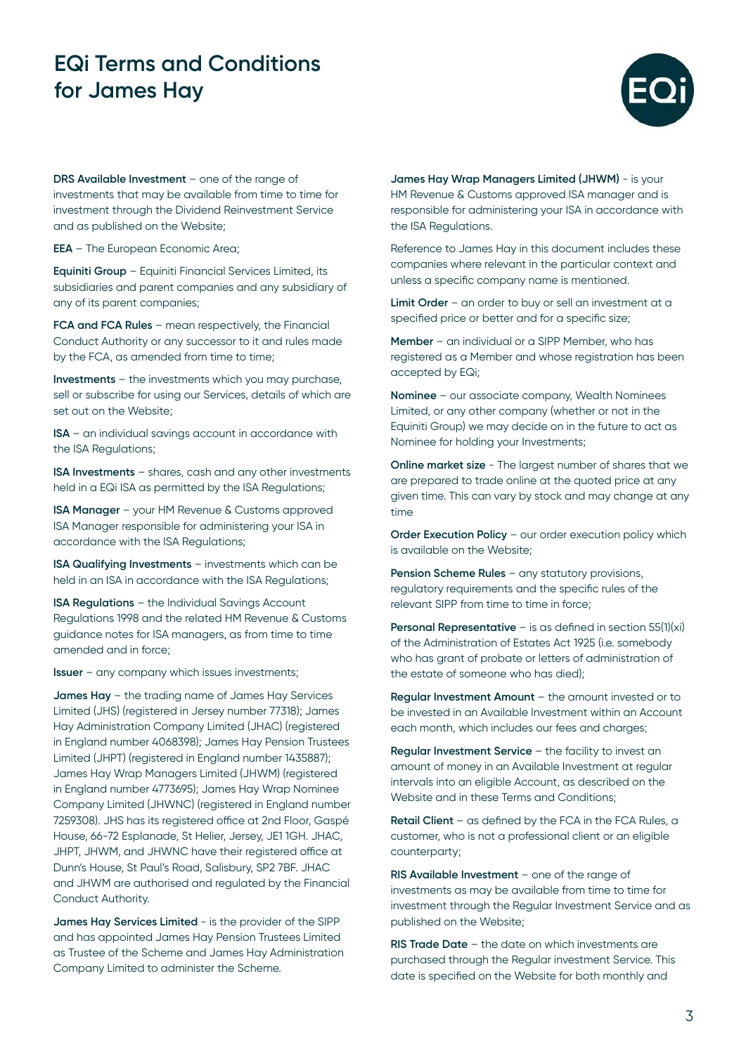

**DRS Available Investment** – one of the range of investments that may be available from time to time for investment through the Dividend Reinvestment Service and as published on the Website;

**EEA** – The European Economic Area;

**Equiniti Group** – Equiniti Financial Services Limited, its subsidiaries and parent companies and any subsidiary of any of its parent companies;

**FCA and FCA Rules** – mean respectively, the Financial Conduct Authority or any successor to it and rules made by the FCA, as amended from time to time;

**Investments** – the investments which you may purchase, sell or subscribe for using our Services, details of which are set out on the Website;

**ISA** – an individual savings account in accordance with the ISA Regulations;

**ISA Investments** – shares, cash and any other investments held in a EQi ISA as permitted by the ISA Regulations;

**ISA Manager** – your HM Revenue & Customs approved ISA Manager responsible for administering your ISA in accordance with the ISA Regulations;

**ISA Qualifying Investments** – investments which can be held in an ISA in accordance with the ISA Regulations;

**ISA Regulations** – the Individual Savings Account Regulations 1998 and the related HM Revenue & Customs guidance notes for ISA managers, as from time to time amended and in force;

**Issuer** – any company which issues investments;

**James Hay** – the trading name of James Hay Services Limited (JHS) (registered in Jersey number 77318); James Hay Administration Company Limited (JHAC) (registered in England number 4068398); James Hay Pension Trustees Limited (JHPT) (registered in England number 1435887); James Hay Wrap Managers Limited (JHWM) (registered in England number 4773695); James Hay Wrap Nominee Company Limited (JHWNC) (registered in England number 7259308). JHS has its registered office at 2nd Floor, Gaspé House, 66-72 Esplanade, St Helier, Jersey, JE1 1GH. JHAC, JHPT, JHWM, and JHWNC have their registered office at Dunn's House, St Paul's Road, Salisbury, SP2 7BF. JHAC and JHWM are authorised and regulated by the Financial Conduct Authority.

**James Hay Services Limited** - is the provider of the SIPP and has appointed James Hay Pension Trustees Limited as Trustee of the Scheme and James Hay Administration Company Limited to administer the Scheme.

**James Hay Wrap Managers Limited (JHWM)** - is your HM Revenue & Customs approved ISA manager and is responsible for administering your ISA in accordance with the ISA Regulations.

Reference to James Hay in this document includes these companies where relevant in the particular context and unless a specific company name is mentioned.

**Limit Order** – an order to buy or sell an investment at a specified price or better and for a specific size;

**Member** – an individual or a SIPP Member, who has registered as a Member and whose registration has been accepted by EQi;

**Nominee** – our associate company, Wealth Nominees Limited, or any other company (whether or not in the Equiniti Group) we may decide on in the future to act as Nominee for holding your Investments;

**Online market size** - The largest number of shares that we are prepared to trade online at the quoted price at any given time. This can vary by stock and may change at any time

**Order Execution Policy** – our order execution policy which is available on the Website;

**Pension Scheme Rules** – any statutory provisions, regulatory requirements and the specific rules of the relevant SIPP from time to time in force;

**Personal Representative** – is as defined in section 55(1)(xi) of the Administration of Estates Act 1925 (i.e. somebody who has grant of probate or letters of administration of the estate of someone who has died);

**Regular Investment Amount** – the amount invested or to be invested in an Available Investment within an Account each month, which includes our fees and charges;

**Regular Investment Service** – the facility to invest an amount of money in an Available Investment at regular intervals into an eligible Account, as described on the Website and in these Terms and Conditions;

**Retail Client** – as defined by the FCA in the FCA Rules, a customer, who is not a professional client or an eligible counterparty;

**RIS Available Investment** – one of the range of investments as may be available from time to time for investment through the Regular Investment Service and as published on the Website;

**RIS Trade Date** – the date on which investments are purchased through the Regular investment Service. This date is specified on the Website for both monthly and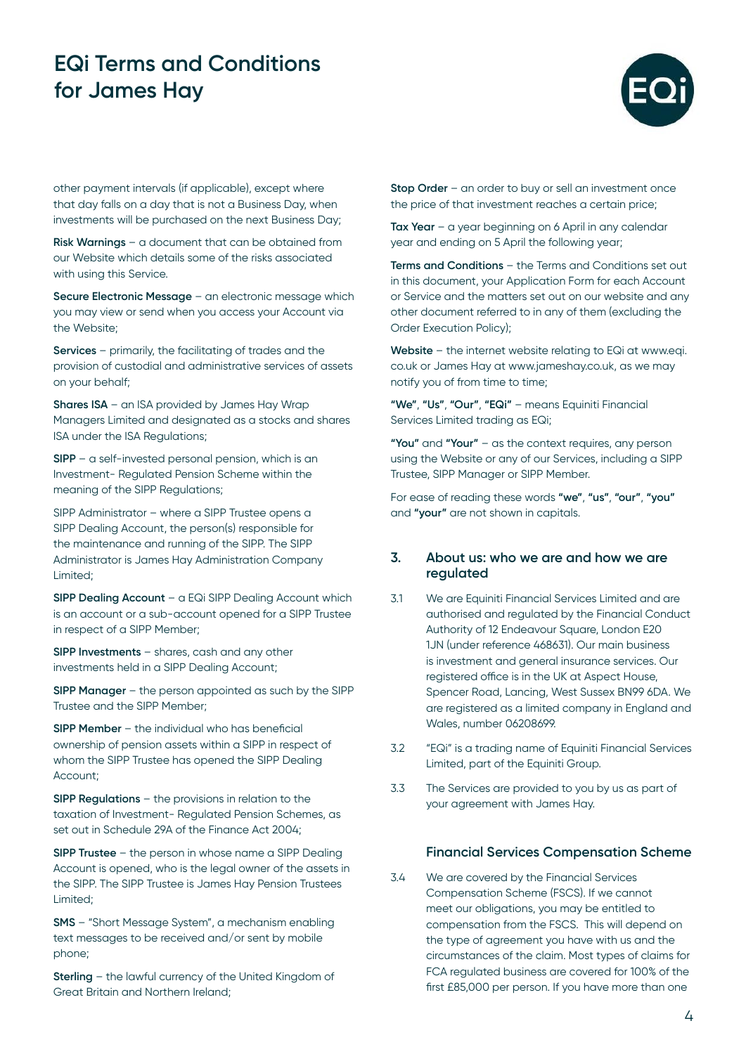

other payment intervals (if applicable), except where that day falls on a day that is not a Business Day, when investments will be purchased on the next Business Day;

**Risk Warnings** – a document that can be obtained from our Website which details some of the risks associated with using this Service.

**Secure Electronic Message** – an electronic message which you may view or send when you access your Account via the Website;

**Services** – primarily, the facilitating of trades and the provision of custodial and administrative services of assets on your behalf;

**Shares ISA** – an ISA provided by James Hay Wrap Managers Limited and designated as a stocks and shares ISA under the ISA Regulations;

**SIPP** – a self-invested personal pension, which is an Investment- Regulated Pension Scheme within the meaning of the SIPP Regulations:

SIPP Administrator – where a SIPP Trustee opens a SIPP Dealing Account, the person(s) responsible for the maintenance and running of the SIPP. The SIPP Administrator is James Hay Administration Company Limited;

**SIPP Dealing Account** – a EQi SIPP Dealing Account which is an account or a sub-account opened for a SIPP Trustee in respect of a SIPP Member;

**SIPP Investments** – shares, cash and any other investments held in a SIPP Dealing Account;

**SIPP Manager** – the person appointed as such by the SIPP Trustee and the SIPP Member;

**SIPP Member** – the individual who has beneficial ownership of pension assets within a SIPP in respect of whom the SIPP Trustee has opened the SIPP Dealing Account;

**SIPP Regulations** – the provisions in relation to the taxation of Investment- Regulated Pension Schemes, as set out in Schedule 29A of the Finance Act 2004;

**SIPP Trustee** – the person in whose name a SIPP Dealing Account is opened, who is the legal owner of the assets in the SIPP. The SIPP Trustee is James Hay Pension Trustees Limited;

**SMS** – "Short Message System", a mechanism enabling text messages to be received and/or sent by mobile phone;

**Sterling** – the lawful currency of the United Kingdom of Great Britain and Northern Ireland;

**Stop Order** – an order to buy or sell an investment once the price of that investment reaches a certain price;

**Tax Year** – a year beginning on 6 April in any calendar year and ending on 5 April the following year;

**Terms and Conditions** – the Terms and Conditions set out in this document, your Application Form for each Account or Service and the matters set out on our website and any other document referred to in any of them (excluding the Order Execution Policy);

**Website** – the internet website relating to EQi at www.eqi. co.uk or James Hay at www.jameshay.co.uk, as we may notify you of from time to time;

**"We"**, **"Us"**, **"Our"**, **"EQi"** – means Equiniti Financial Services Limited trading as EQi;

**"You"** and **"Your"** – as the context requires, any person using the Website or any of our Services, including a SIPP Trustee, SIPP Manager or SIPP Member.

For ease of reading these words **"we"**, **"us"**, **"our"**, **"you"** and **"your"** are not shown in capitals.

#### **3. About us: who we are and how we are regulated**

- 3.1 We are Equiniti Financial Services Limited and are authorised and regulated by the Financial Conduct Authority of 12 Endeavour Square, London E20 1JN (under reference 468631). Our main business is investment and general insurance services. Our registered office is in the UK at Aspect House, Spencer Road, Lancing, West Sussex BN99 6DA. We are registered as a limited company in England and Wales, number 06208699.
- 3.2 "EQi" is a trading name of Equiniti Financial Services Limited, part of the Equiniti Group.
- 3.3 The Services are provided to you by us as part of your agreement with James Hay.

#### **Financial Services Compensation Scheme**

3.4 We are covered by the Financial Services Compensation Scheme (FSCS). If we cannot meet our obligations, you may be entitled to compensation from the FSCS. This will depend on the type of agreement you have with us and the circumstances of the claim. Most types of claims for FCA regulated business are covered for 100% of the first £85,000 per person. If you have more than one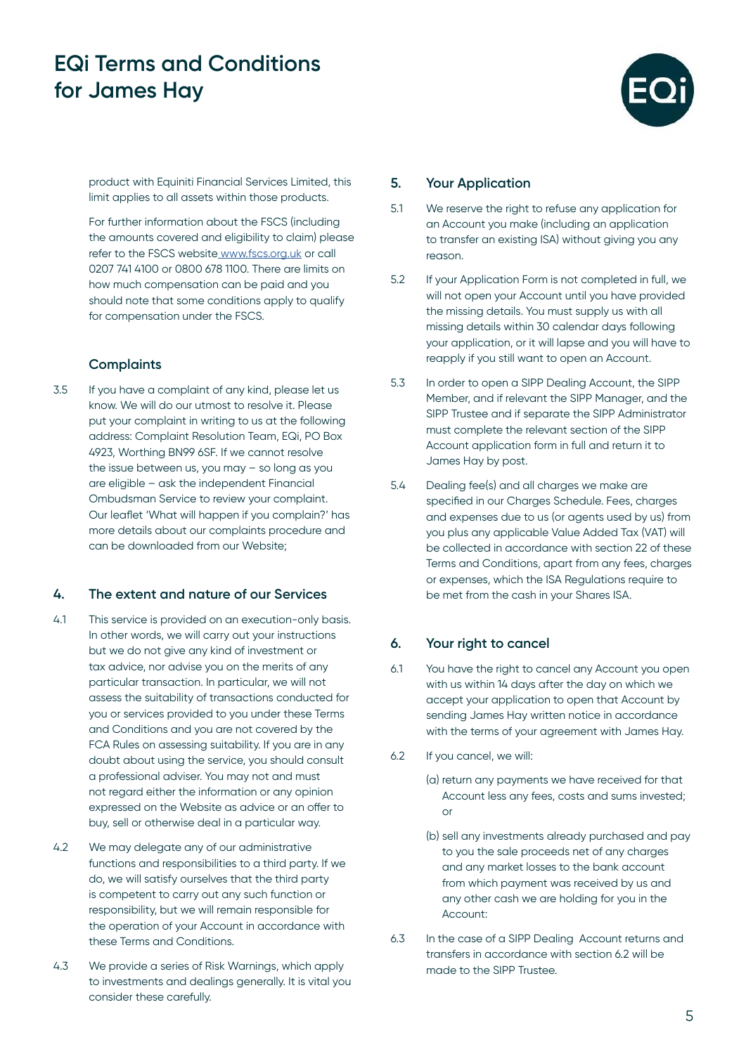

product with Equiniti Financial Services Limited, this limit applies to all assets within those products.

For further information about the FSCS (including the amounts covered and eligibility to claim) please refer to the FSCS website [www.fscs.org.uk](http:// www.fscs.org.uk) or call 0207 741 4100 or 0800 678 1100. There are limits on how much compensation can be paid and you should note that some conditions apply to qualify for compensation under the FSCS.

### **Complaints**

3.5 If you have a complaint of any kind, please let us know. We will do our utmost to resolve it. Please put your complaint in writing to us at the following address: Complaint Resolution Team, EQi, PO Box 4923, Worthing BN99 6SF. If we cannot resolve the issue between us, you may – so long as you are eligible – ask the independent Financial Ombudsman Service to review your complaint. Our leaflet 'What will happen if you complain?' has more details about our complaints procedure and can be downloaded from our Website;

#### **4. The extent and nature of our Services**

- 4.1 This service is provided on an execution-only basis. In other words, we will carry out your instructions but we do not give any kind of investment or tax advice, nor advise you on the merits of any particular transaction. In particular, we will not assess the suitability of transactions conducted for you or services provided to you under these Terms and Conditions and you are not covered by the FCA Rules on assessing suitability. If you are in any doubt about using the service, you should consult a professional adviser. You may not and must not regard either the information or any opinion expressed on the Website as advice or an offer to buy, sell or otherwise deal in a particular way.
- 4.2 We may delegate any of our administrative functions and responsibilities to a third party. If we do, we will satisfy ourselves that the third party is competent to carry out any such function or responsibility, but we will remain responsible for the operation of your Account in accordance with these Terms and Conditions.
- 4.3 We provide a series of Risk Warnings, which apply to investments and dealings generally. It is vital you consider these carefully.

#### **5. Your Application**

- 5.1 We reserve the right to refuse any application for an Account you make (including an application to transfer an existing ISA) without giving you any reason.
- 5.2 If your Application Form is not completed in full, we will not open your Account until you have provided the missing details. You must supply us with all missing details within 30 calendar days following your application, or it will lapse and you will have to reapply if you still want to open an Account.
- 5.3 In order to open a SIPP Dealing Account, the SIPP Member, and if relevant the SIPP Manager, and the SIPP Trustee and if separate the SIPP Administrator must complete the relevant section of the SIPP Account application form in full and return it to James Hay by post.
- 5.4 Dealing fee(s) and all charges we make are specified in our Charges Schedule. Fees, charges and expenses due to us (or agents used by us) from you plus any applicable Value Added Tax (VAT) will be collected in accordance with section 22 of these Terms and Conditions, apart from any fees, charges or expenses, which the ISA Regulations require to be met from the cash in your Shares ISA.

#### **6. Your right to cancel**

- 6.1 You have the right to cancel any Account you open with us within 14 days after the day on which we accept your application to open that Account by sending James Hay written notice in accordance with the terms of your agreement with James Hay.
- 6.2 If you cancel, we will:
	- (a) return any payments we have received for that Account less any fees, costs and sums invested; or
	- (b) sell any investments already purchased and pay to you the sale proceeds net of any charges and any market losses to the bank account from which payment was received by us and any other cash we are holding for you in the Account:
- 6.3 In the case of a SIPP Dealing Account returns and transfers in accordance with section 6.2 will be made to the SIPP Trustee.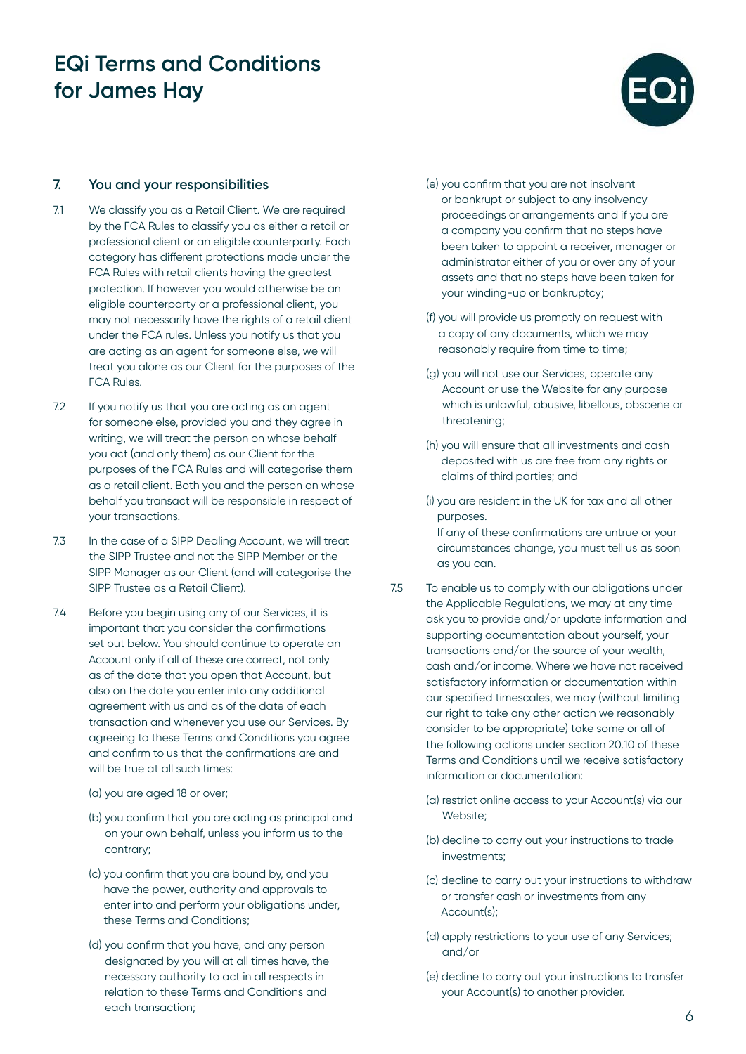

### **7. You and your responsibilities**

- 7.1 We classify you as a Retail Client. We are required by the FCA Rules to classify you as either a retail or professional client or an eligible counterparty. Each category has different protections made under the FCA Rules with retail clients having the greatest protection. If however you would otherwise be an eligible counterparty or a professional client, you may not necessarily have the rights of a retail client under the FCA rules. Unless you notify us that you are acting as an agent for someone else, we will treat you alone as our Client for the purposes of the FCA Rules.
- 7.2 If you notify us that you are acting as an agent for someone else, provided you and they agree in writing, we will treat the person on whose behalf you act (and only them) as our Client for the purposes of the FCA Rules and will categorise them as a retail client. Both you and the person on whose behalf you transact will be responsible in respect of your transactions.
- 7.3 In the case of a SIPP Dealing Account, we will treat the SIPP Trustee and not the SIPP Member or the SIPP Manager as our Client (and will categorise the SIPP Trustee as a Retail Client).
- 7.4 Before you begin using any of our Services, it is important that you consider the confirmations set out below. You should continue to operate an Account only if all of these are correct, not only as of the date that you open that Account, but also on the date you enter into any additional agreement with us and as of the date of each transaction and whenever you use our Services. By agreeing to these Terms and Conditions you agree and confirm to us that the confirmations are and will be true at all such times:
	- (a) you are aged 18 or over;
	- (b) you confirm that you are acting as principal and on your own behalf, unless you inform us to the contrary;
	- (c) you confirm that you are bound by, and you have the power, authority and approvals to enter into and perform your obligations under, these Terms and Conditions;
	- (d) you confirm that you have, and any person designated by you will at all times have, the necessary authority to act in all respects in relation to these Terms and Conditions and each transaction;
- (e) you confirm that you are not insolvent or bankrupt or subject to any insolvency proceedings or arrangements and if you are a company you confirm that no steps have been taken to appoint a receiver, manager or administrator either of you or over any of your assets and that no steps have been taken for your winding-up or bankruptcy;
- (f) you will provide us promptly on request with a copy of any documents, which we may reasonably require from time to time;
- (g) you will not use our Services, operate any Account or use the Website for any purpose which is unlawful, abusive, libellous, obscene or threatening;
- (h) you will ensure that all investments and cash deposited with us are free from any rights or claims of third parties; and
- (i) you are resident in the UK for tax and all other purposes. If any of these confirmations are untrue or your

circumstances change, you must tell us as soon as you can.

- 7.5 To enable us to comply with our obligations under the Applicable Regulations, we may at any time ask you to provide and/or update information and supporting documentation about yourself, your transactions and/or the source of your wealth, cash and/or income. Where we have not received satisfactory information or documentation within our specified timescales, we may (without limiting our right to take any other action we reasonably consider to be appropriate) take some or all of the following actions under section 20.10 of these Terms and Conditions until we receive satisfactory information or documentation:
	- (a) restrict online access to your Account(s) via our Website;
	- (b) decline to carry out your instructions to trade investments;
	- (c) decline to carry out your instructions to withdraw or transfer cash or investments from any Account(s);
	- (d) apply restrictions to your use of any Services; and/or
	- (e) decline to carry out your instructions to transfer your Account(s) to another provider.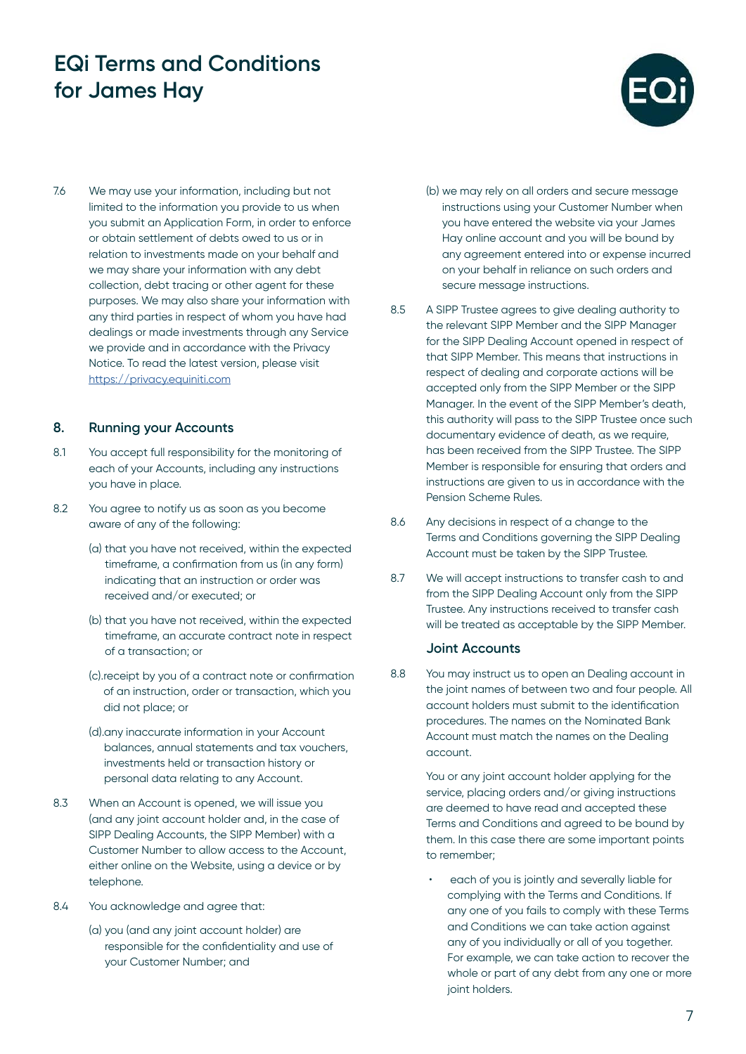

7.6 We may use your information, including but not limited to the information you provide to us when you submit an Application Form, in order to enforce or obtain settlement of debts owed to us or in relation to investments made on your behalf and we may share your information with any debt collection, debt tracing or other agent for these purposes. We may also share your information with any third parties in respect of whom you have had dealings or made investments through any Service we provide and in accordance with the Privacy Notice. To read the latest version, please visit <https://privacy.equiniti.com>

### **8. Running your Accounts**

- 8.1 You accept full responsibility for the monitoring of each of your Accounts, including any instructions you have in place.
- 8.2 You agree to notify us as soon as you become aware of any of the following:
	- (a) that you have not received, within the expected timeframe, a confirmation from us (in any form) indicating that an instruction or order was received and/or executed; or
	- (b) that you have not received, within the expected timeframe, an accurate contract note in respect of a transaction; or
	- (c).receipt by you of a contract note or confirmation of an instruction, order or transaction, which you did not place; or
	- (d).any inaccurate information in your Account balances, annual statements and tax vouchers, investments held or transaction history or personal data relating to any Account.
- 8.3 When an Account is opened, we will issue you (and any joint account holder and, in the case of SIPP Dealing Accounts, the SIPP Member) with a Customer Number to allow access to the Account, either online on the Website, using a device or by telephone.
- 8.4 You acknowledge and agree that:
	- (a) you (and any joint account holder) are responsible for the confidentiality and use of your Customer Number; and
- (b) we may rely on all orders and secure message instructions using your Customer Number when you have entered the website via your James Hay online account and you will be bound by any agreement entered into or expense incurred on your behalf in reliance on such orders and secure message instructions.
- 8.5 A SIPP Trustee agrees to give dealing authority to the relevant SIPP Member and the SIPP Manager for the SIPP Dealing Account opened in respect of that SIPP Member. This means that instructions in respect of dealing and corporate actions will be accepted only from the SIPP Member or the SIPP Manager. In the event of the SIPP Member's death, this authority will pass to the SIPP Trustee once such documentary evidence of death, as we require, has been received from the SIPP Trustee. The SIPP Member is responsible for ensuring that orders and instructions are given to us in accordance with the Pension Scheme Rules.
- 8.6 Any decisions in respect of a change to the Terms and Conditions governing the SIPP Dealing Account must be taken by the SIPP Trustee.
- 8.7 We will accept instructions to transfer cash to and from the SIPP Dealing Account only from the SIPP Trustee. Any instructions received to transfer cash will be treated as acceptable by the SIPP Member.

#### **Joint Accounts**

8.8 You may instruct us to open an Dealing account in the joint names of between two and four people. All account holders must submit to the identification procedures. The names on the Nominated Bank Account must match the names on the Dealing account.

> You or any joint account holder applying for the service, placing orders and/or giving instructions are deemed to have read and accepted these Terms and Conditions and agreed to be bound by them. In this case there are some important points to remember;

each of you is jointly and severally liable for complying with the Terms and Conditions. If any one of you fails to comply with these Terms and Conditions we can take action against any of you individually or all of you together. For example, we can take action to recover the whole or part of any debt from any one or more joint holders.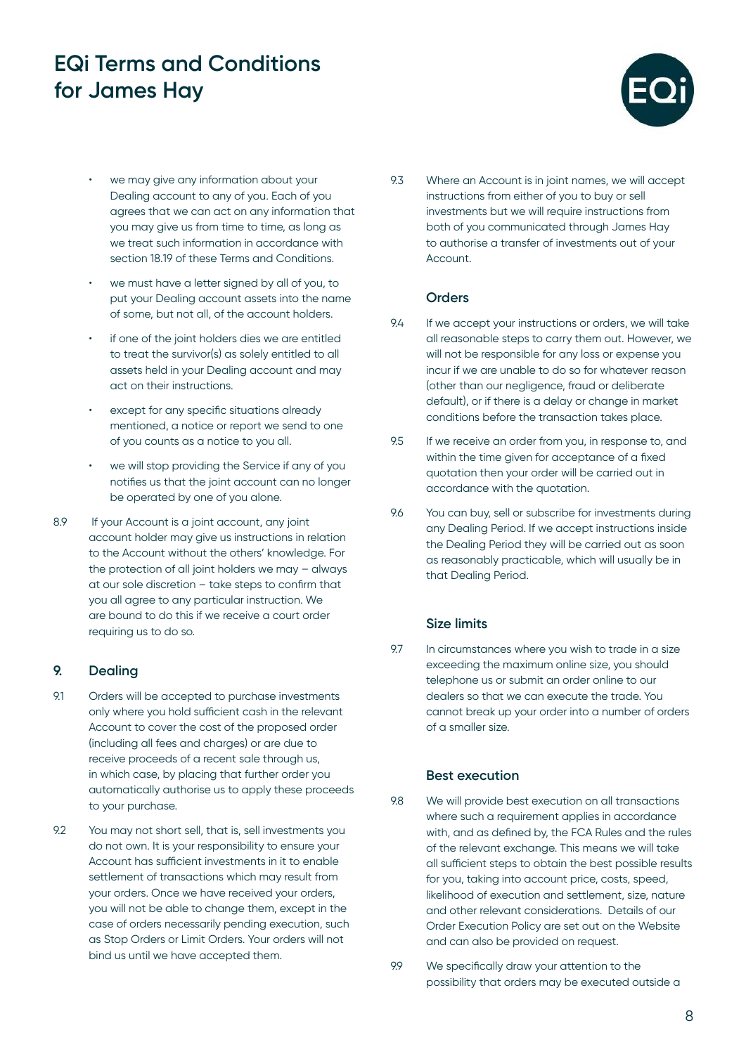

- we may give any information about your Dealing account to any of you. Each of you agrees that we can act on any information that you may give us from time to time, as long as we treat such information in accordance with section 18.19 of these Terms and Conditions.
- we must have a letter signed by all of you, to put your Dealing account assets into the name of some, but not all, of the account holders.
- if one of the joint holders dies we are entitled to treat the survivor(s) as solely entitled to all assets held in your Dealing account and may act on their instructions.
- except for any specific situations already mentioned, a notice or report we send to one of you counts as a notice to you all.
- we will stop providing the Service if any of you notifies us that the joint account can no longer be operated by one of you alone.
- 8.9 If your Account is a joint account, any joint account holder may give us instructions in relation to the Account without the others' knowledge. For the protection of all joint holders we may – always at our sole discretion – take steps to confirm that you all agree to any particular instruction. We are bound to do this if we receive a court order requiring us to do so.

### **9. Dealing**

- 9.1 Orders will be accepted to purchase investments only where you hold sufficient cash in the relevant Account to cover the cost of the proposed order (including all fees and charges) or are due to receive proceeds of a recent sale through us, in which case, by placing that further order you automatically authorise us to apply these proceeds to your purchase.
- 9.2 You may not short sell, that is, sell investments you do not own. It is your responsibility to ensure your Account has sufficient investments in it to enable settlement of transactions which may result from your orders. Once we have received your orders, you will not be able to change them, except in the case of orders necessarily pending execution, such as Stop Orders or Limit Orders. Your orders will not bind us until we have accepted them.

9.3 Where an Account is in joint names, we will accept instructions from either of you to buy or sell investments but we will require instructions from both of you communicated through James Hay to authorise a transfer of investments out of your Account.

### **Orders**

- 9.4 If we accept your instructions or orders, we will take all reasonable steps to carry them out. However, we will not be responsible for any loss or expense you incur if we are unable to do so for whatever reason (other than our negligence, fraud or deliberate default), or if there is a delay or change in market conditions before the transaction takes place.
- 9.5 If we receive an order from you, in response to, and within the time given for acceptance of a fixed quotation then your order will be carried out in accordance with the quotation.
- 9.6 You can buy, sell or subscribe for investments during any Dealing Period. If we accept instructions inside the Dealing Period they will be carried out as soon as reasonably practicable, which will usually be in that Dealing Period.

### **Size limits**

9.7 In circumstances where you wish to trade in a size exceeding the maximum online size, you should telephone us or submit an order online to our dealers so that we can execute the trade. You cannot break up your order into a number of orders of a smaller size.

#### **Best execution**

- 9.8 We will provide best execution on all transactions where such a requirement applies in accordance with, and as defined by, the FCA Rules and the rules of the relevant exchange. This means we will take all sufficient steps to obtain the best possible results for you, taking into account price, costs, speed, likelihood of execution and settlement, size, nature and other relevant considerations. Details of our Order Execution Policy are set out on the Website and can also be provided on request.
- 9.9 We specifically draw your attention to the possibility that orders may be executed outside a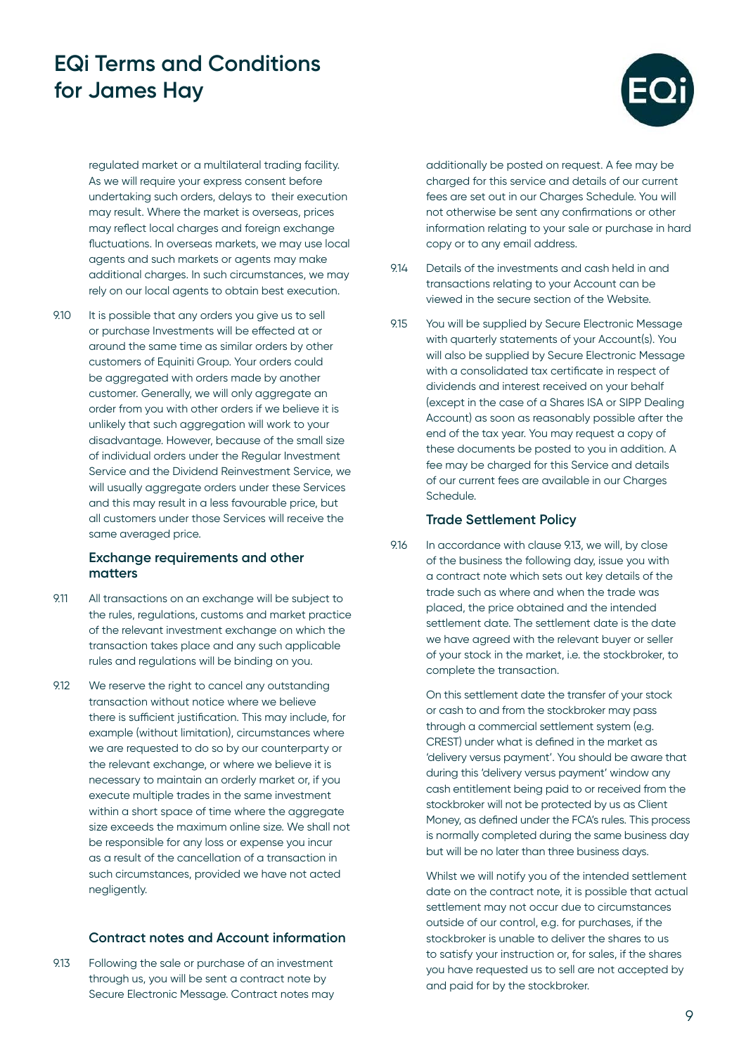

regulated market or a multilateral trading facility. As we will require your express consent before undertaking such orders, delays to their execution may result. Where the market is overseas, prices may reflect local charges and foreign exchange fluctuations. In overseas markets, we may use local agents and such markets or agents may make additional charges. In such circumstances, we may rely on our local agents to obtain best execution.

9.10 It is possible that any orders you give us to sell or purchase Investments will be effected at or around the same time as similar orders by other customers of Equiniti Group. Your orders could be aggregated with orders made by another customer. Generally, we will only aggregate an order from you with other orders if we believe it is unlikely that such aggregation will work to your disadvantage. However, because of the small size of individual orders under the Regular Investment Service and the Dividend Reinvestment Service, we will usually aggregate orders under these Services and this may result in a less favourable price, but all customers under those Services will receive the same averaged price.

#### **Exchange requirements and other matters**

- 9.11 All transactions on an exchange will be subject to the rules, regulations, customs and market practice of the relevant investment exchange on which the transaction takes place and any such applicable rules and regulations will be binding on you.
- 9.12 We reserve the right to cancel any outstanding transaction without notice where we believe there is sufficient justification. This may include, for example (without limitation), circumstances where we are requested to do so by our counterparty or the relevant exchange, or where we believe it is necessary to maintain an orderly market or, if you execute multiple trades in the same investment within a short space of time where the aggregate size exceeds the maximum online size. We shall not be responsible for any loss or expense you incur as a result of the cancellation of a transaction in such circumstances, provided we have not acted negligently.

### **Contract notes and Account information**

9.13 Following the sale or purchase of an investment through us, you will be sent a contract note by Secure Electronic Message. Contract notes may

additionally be posted on request. A fee may be charged for this service and details of our current fees are set out in our Charges Schedule. You will not otherwise be sent any confirmations or other information relating to your sale or purchase in hard copy or to any email address.

- 9.14 Details of the investments and cash held in and transactions relating to your Account can be viewed in the secure section of the Website.
- 9.15 You will be supplied by Secure Electronic Message with quarterly statements of your Account(s). You will also be supplied by Secure Electronic Message with a consolidated tax certificate in respect of dividends and interest received on your behalf (except in the case of a Shares ISA or SIPP Dealing Account) as soon as reasonably possible after the end of the tax year. You may request a copy of these documents be posted to you in addition. A fee may be charged for this Service and details of our current fees are available in our Charges Schedule.

#### **Trade Settlement Policy**

9.16 In accordance with clause 9.13, we will, by close of the business the following day, issue you with a contract note which sets out key details of the trade such as where and when the trade was placed, the price obtained and the intended settlement date. The settlement date is the date we have agreed with the relevant buyer or seller of your stock in the market, i.e. the stockbroker, to complete the transaction.

> On this settlement date the transfer of your stock or cash to and from the stockbroker may pass through a commercial settlement system (e.g. CREST) under what is defined in the market as 'delivery versus payment'. You should be aware that during this 'delivery versus payment' window any cash entitlement being paid to or received from the stockbroker will not be protected by us as Client Money, as defined under the FCA's rules. This process is normally completed during the same business day but will be no later than three business days.

Whilst we will notify you of the intended settlement date on the contract note, it is possible that actual settlement may not occur due to circumstances outside of our control, e.g. for purchases, if the stockbroker is unable to deliver the shares to us to satisfy your instruction or, for sales, if the shares you have requested us to sell are not accepted by and paid for by the stockbroker.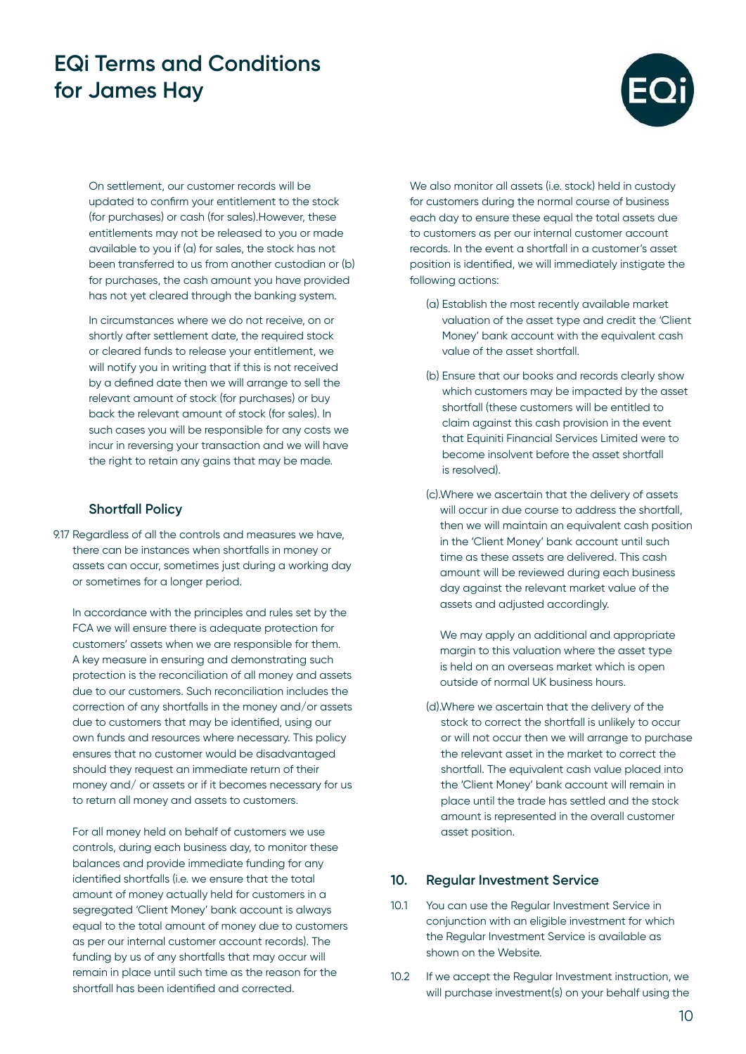

On settlement, our customer records will be updated to confirm your entitlement to the stock (for purchases) or cash (for sales).However, these entitlements may not be released to you or made available to you if (a) for sales, the stock has not been transferred to us from another custodian or (b) for purchases, the cash amount you have provided has not yet cleared through the banking system.

In circumstances where we do not receive, on or shortly after settlement date, the required stock or cleared funds to release your entitlement, we will notify you in writing that if this is not received by a defined date then we will arrange to sell the relevant amount of stock (for purchases) or buy back the relevant amount of stock (for sales). In such cases you will be responsible for any costs we incur in reversing your transaction and we will have the right to retain any gains that may be made.

### **Shortfall Policy**

9.17 Regardless of all the controls and measures we have, there can be instances when shortfalls in money or assets can occur, sometimes just during a working day or sometimes for a longer period.

In accordance with the principles and rules set by the FCA we will ensure there is adequate protection for customers' assets when we are responsible for them. A key measure in ensuring and demonstrating such protection is the reconciliation of all money and assets due to our customers. Such reconciliation includes the correction of any shortfalls in the money and/or assets due to customers that may be identified, using our own funds and resources where necessary. This policy ensures that no customer would be disadvantaged should they request an immediate return of their money and/ or assets or if it becomes necessary for us to return all money and assets to customers.

For all money held on behalf of customers we use controls, during each business day, to monitor these balances and provide immediate funding for any identified shortfalls (i.e. we ensure that the total amount of money actually held for customers in a segregated 'Client Money' bank account is always equal to the total amount of money due to customers as per our internal customer account records). The funding by us of any shortfalls that may occur will remain in place until such time as the reason for the shortfall has been identified and corrected.

We also monitor all assets (i.e. stock) held in custody for customers during the normal course of business each day to ensure these equal the total assets due to customers as per our internal customer account records. In the event a shortfall in a customer's asset position is identified, we will immediately instigate the following actions:

- (a) Establish the most recently available market valuation of the asset type and credit the 'Client Money' bank account with the equivalent cash value of the asset shortfall.
- (b) Ensure that our books and records clearly show which customers may be impacted by the asset shortfall (these customers will be entitled to claim against this cash provision in the event that Equiniti Financial Services Limited were to become insolvent before the asset shortfall is resolved).
- (c).Where we ascertain that the delivery of assets will occur in due course to address the shortfall. then we will maintain an equivalent cash position in the 'Client Money' bank account until such time as these assets are delivered. This cash amount will be reviewed during each business day against the relevant market value of the assets and adjusted accordingly.
	- We may apply an additional and appropriate margin to this valuation where the asset type is held on an overseas market which is open outside of normal UK business hours.
- (d).Where we ascertain that the delivery of the stock to correct the shortfall is unlikely to occur or will not occur then we will arrange to purchase the relevant asset in the market to correct the shortfall. The equivalent cash value placed into the 'Client Money' bank account will remain in place until the trade has settled and the stock amount is represented in the overall customer asset position.

#### **10. Regular Investment Service**

- 10.1 You can use the Regular Investment Service in conjunction with an eligible investment for which the Regular Investment Service is available as shown on the Website.
- 10.2 If we accept the Regular Investment instruction, we will purchase investment(s) on your behalf using the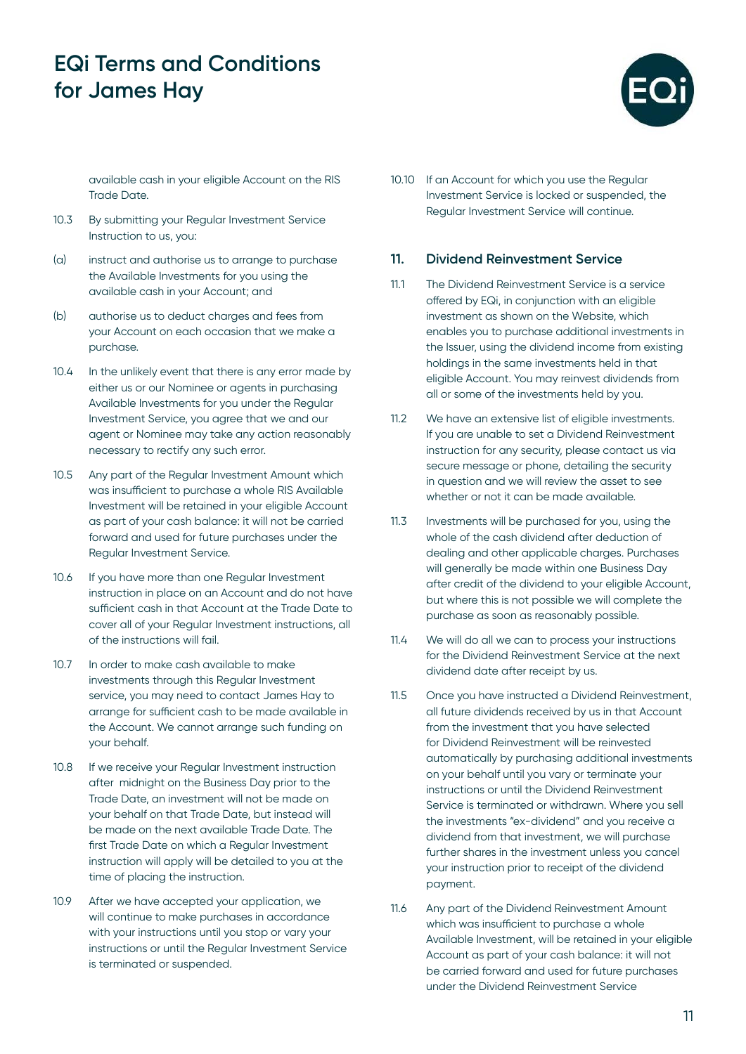

available cash in your eligible Account on the RIS Trade Date.

- 10.3 By submitting your Regular Investment Service Instruction to us, you:
- (a) instruct and authorise us to arrange to purchase the Available Investments for you using the available cash in your Account; and
- (b) authorise us to deduct charges and fees from your Account on each occasion that we make a purchase.
- 10.4 In the unlikely event that there is any error made by either us or our Nominee or agents in purchasing Available Investments for you under the Regular Investment Service, you agree that we and our agent or Nominee may take any action reasonably necessary to rectify any such error.
- 10.5 Any part of the Regular Investment Amount which was insufficient to purchase a whole RIS Available Investment will be retained in your eligible Account as part of your cash balance: it will not be carried forward and used for future purchases under the Regular Investment Service.
- 10.6 If you have more than one Regular Investment instruction in place on an Account and do not have sufficient cash in that Account at the Trade Date to cover all of your Regular Investment instructions, all of the instructions will fail.
- 10.7 In order to make cash available to make investments through this Regular Investment service, you may need to contact James Hay to arrange for sufficient cash to be made available in the Account. We cannot arrange such funding on your behalf.
- 10.8 If we receive your Regular Investment instruction after midnight on the Business Day prior to the Trade Date, an investment will not be made on your behalf on that Trade Date, but instead will be made on the next available Trade Date. The first Trade Date on which a Regular Investment instruction will apply will be detailed to you at the time of placing the instruction.
- 10.9 After we have accepted your application, we will continue to make purchases in accordance with your instructions until you stop or vary your instructions or until the Regular Investment Service is terminated or suspended.

10.10 If an Account for which you use the Regular Investment Service is locked or suspended, the Regular Investment Service will continue.

#### **11. Dividend Reinvestment Service**

- 11.1 The Dividend Reinvestment Service is a service offered by EQi, in conjunction with an eligible investment as shown on the Website, which enables you to purchase additional investments in the Issuer, using the dividend income from existing holdings in the same investments held in that eligible Account. You may reinvest dividends from all or some of the investments held by you.
- 11.2 We have an extensive list of eligible investments. If you are unable to set a Dividend Reinvestment instruction for any security, please contact us via secure message or phone, detailing the security in question and we will review the asset to see whether or not it can be made available.
- 11.3 Investments will be purchased for you, using the whole of the cash dividend after deduction of dealing and other applicable charges. Purchases will generally be made within one Business Day after credit of the dividend to your eligible Account, but where this is not possible we will complete the purchase as soon as reasonably possible.
- 11.4 We will do all we can to process your instructions for the Dividend Reinvestment Service at the next dividend date after receipt by us.
- 11.5 Once you have instructed a Dividend Reinvestment, all future dividends received by us in that Account from the investment that you have selected for Dividend Reinvestment will be reinvested automatically by purchasing additional investments on your behalf until you vary or terminate your instructions or until the Dividend Reinvestment Service is terminated or withdrawn. Where you sell the investments "ex-dividend" and you receive a dividend from that investment, we will purchase further shares in the investment unless you cancel your instruction prior to receipt of the dividend payment.
- 11.6 Any part of the Dividend Reinvestment Amount which was insufficient to purchase a whole Available Investment, will be retained in your eligible Account as part of your cash balance: it will not be carried forward and used for future purchases under the Dividend Reinvestment Service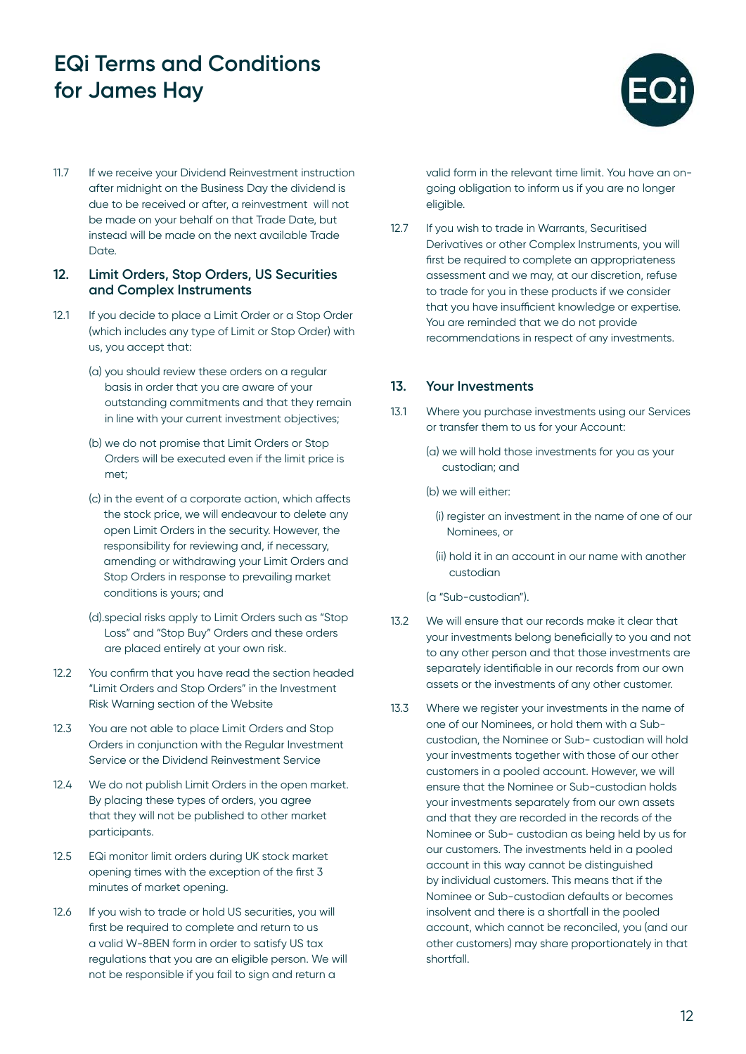

11.7 If we receive your Dividend Reinvestment instruction after midnight on the Business Day the dividend is due to be received or after, a reinvestment will not be made on your behalf on that Trade Date, but instead will be made on the next available Trade Date.

#### **12. Limit Orders, Stop Orders, US Securities and Complex Instruments**

- 12.1 If you decide to place a Limit Order or a Stop Order (which includes any type of Limit or Stop Order) with us, you accept that:
	- (a) you should review these orders on a regular basis in order that you are aware of your outstanding commitments and that they remain in line with your current investment objectives;
	- (b) we do not promise that Limit Orders or Stop Orders will be executed even if the limit price is met;
	- (c) in the event of a corporate action, which affects the stock price, we will endeavour to delete any open Limit Orders in the security. However, the responsibility for reviewing and, if necessary, amending or withdrawing your Limit Orders and Stop Orders in response to prevailing market conditions is yours; and
	- (d).special risks apply to Limit Orders such as "Stop Loss" and "Stop Buy" Orders and these orders are placed entirely at your own risk.
- 12.2 You confirm that you have read the section headed "Limit Orders and Stop Orders" in the Investment Risk Warning section of the Website
- 12.3 You are not able to place Limit Orders and Stop Orders in conjunction with the Regular Investment Service or the Dividend Reinvestment Service
- 12.4 We do not publish Limit Orders in the open market. By placing these types of orders, you agree that they will not be published to other market participants.
- 12.5 EQi monitor limit orders during UK stock market opening times with the exception of the first 3 minutes of market opening.
- 12.6 If you wish to trade or hold US securities, you will first be required to complete and return to us a valid W-8BEN form in order to satisfy US tax regulations that you are an eligible person. We will not be responsible if you fail to sign and return a

valid form in the relevant time limit. You have an ongoing obligation to inform us if you are no longer eligible.

12.7 If you wish to trade in Warrants, Securitised Derivatives or other Complex Instruments, you will first be required to complete an appropriateness assessment and we may, at our discretion, refuse to trade for you in these products if we consider that you have insufficient knowledge or expertise. You are reminded that we do not provide recommendations in respect of any investments.

### **13. Your Investments**

- 13.1 Where you purchase investments using our Services or transfer them to us for your Account:
	- (a) we will hold those investments for you as your custodian; and
	- (b) we will either:
		- (i) register an investment in the name of one of our Nominees, or
		- (ii) hold it in an account in our name with another custodian
	- (a "Sub-custodian").
- 13.2 We will ensure that our records make it clear that your investments belong beneficially to you and not to any other person and that those investments are separately identifiable in our records from our own assets or the investments of any other customer.
- 13.3 Where we register your investments in the name of one of our Nominees, or hold them with a Subcustodian, the Nominee or Sub- custodian will hold your investments together with those of our other customers in a pooled account. However, we will ensure that the Nominee or Sub-custodian holds your investments separately from our own assets and that they are recorded in the records of the Nominee or Sub- custodian as being held by us for our customers. The investments held in a pooled account in this way cannot be distinguished by individual customers. This means that if the Nominee or Sub-custodian defaults or becomes insolvent and there is a shortfall in the pooled account, which cannot be reconciled, you (and our other customers) may share proportionately in that shortfall.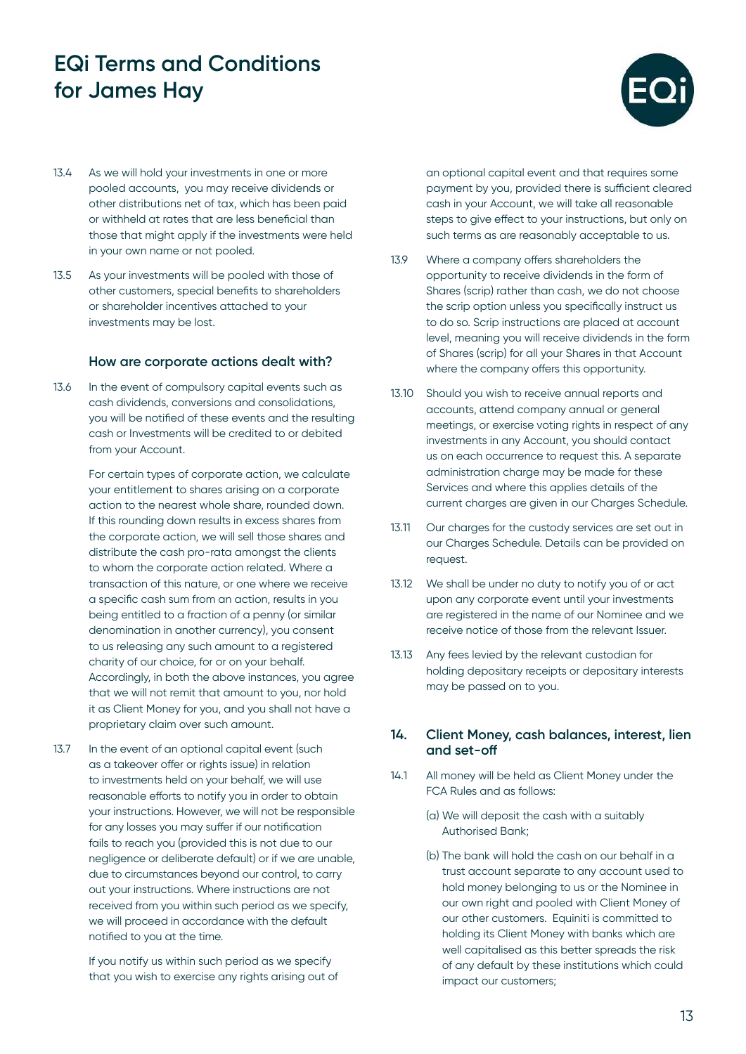

- 13.4 As we will hold your investments in one or more pooled accounts, you may receive dividends or other distributions net of tax, which has been paid or withheld at rates that are less beneficial than those that might apply if the investments were held in your own name or not pooled.
- 13.5 As your investments will be pooled with those of other customers, special benefits to shareholders or shareholder incentives attached to your investments may be lost.

#### **How are corporate actions dealt with?**

13.6 In the event of compulsory capital events such as cash dividends, conversions and consolidations, you will be notified of these events and the resulting cash or Investments will be credited to or debited from your Account.

> For certain types of corporate action, we calculate your entitlement to shares arising on a corporate action to the nearest whole share, rounded down. If this rounding down results in excess shares from the corporate action, we will sell those shares and distribute the cash pro-rata amongst the clients to whom the corporate action related. Where a transaction of this nature, or one where we receive a specific cash sum from an action, results in you being entitled to a fraction of a penny (or similar denomination in another currency), you consent to us releasing any such amount to a registered charity of our choice, for or on your behalf. Accordingly, in both the above instances, you agree that we will not remit that amount to you, nor hold it as Client Money for you, and you shall not have a proprietary claim over such amount.

13.7 In the event of an optional capital event (such as a takeover offer or rights issue) in relation to investments held on your behalf, we will use reasonable efforts to notify you in order to obtain your instructions. However, we will not be responsible for any losses you may suffer if our notification fails to reach you (provided this is not due to our negligence or deliberate default) or if we are unable, due to circumstances beyond our control, to carry out your instructions. Where instructions are not received from you within such period as we specify, we will proceed in accordance with the default notified to you at the time.

> If you notify us within such period as we specify that you wish to exercise any rights arising out of

an optional capital event and that requires some payment by you, provided there is sufficient cleared cash in your Account, we will take all reasonable steps to give effect to your instructions, but only on such terms as are reasonably acceptable to us.

- 13.9 Where a company offers shareholders the opportunity to receive dividends in the form of Shares (scrip) rather than cash, we do not choose the scrip option unless you specifically instruct us to do so. Scrip instructions are placed at account level, meaning you will receive dividends in the form of Shares (scrip) for all your Shares in that Account where the company offers this opportunity.
- 13.10 Should you wish to receive annual reports and accounts, attend company annual or general meetings, or exercise voting rights in respect of any investments in any Account, you should contact us on each occurrence to request this. A separate administration charge may be made for these Services and where this applies details of the current charges are given in our Charges Schedule.
- 13.11 Our charges for the custody services are set out in our Charges Schedule. Details can be provided on request.
- 13.12 We shall be under no duty to notify you of or act upon any corporate event until your investments are registered in the name of our Nominee and we receive notice of those from the relevant Issuer.
- 13.13 Any fees levied by the relevant custodian for holding depositary receipts or depositary interests may be passed on to you.

#### **14. Client Money, cash balances, interest, lien and set-off**

- 14.1 All money will be held as Client Money under the FCA Rules and as follows:
	- (a) We will deposit the cash with a suitably Authorised Bank;
	- (b) The bank will hold the cash on our behalf in a trust account separate to any account used to hold money belonging to us or the Nominee in our own right and pooled with Client Money of our other customers. Equiniti is committed to holding its Client Money with banks which are well capitalised as this better spreads the risk of any default by these institutions which could impact our customers;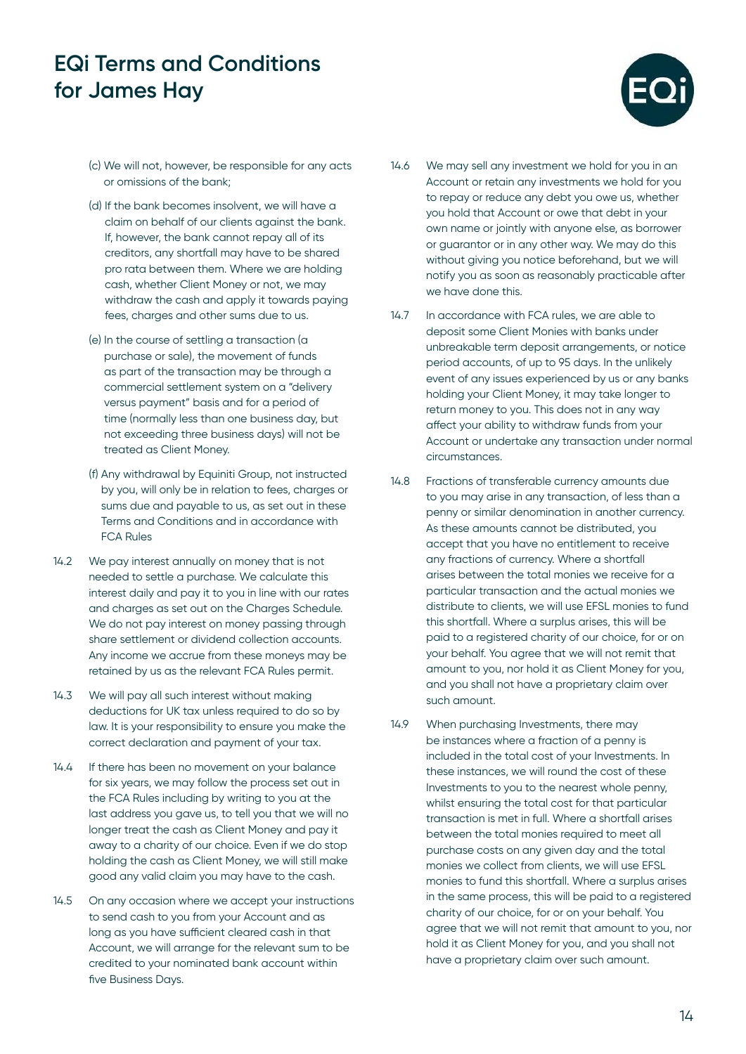

- (c) We will not, however, be responsible for any acts or omissions of the bank;
- (d) If the bank becomes insolvent, we will have a claim on behalf of our clients against the bank. If, however, the bank cannot repay all of its creditors, any shortfall may have to be shared pro rata between them. Where we are holding cash, whether Client Money or not, we may withdraw the cash and apply it towards paying fees, charges and other sums due to us.
- (e) In the course of settling a transaction (a purchase or sale), the movement of funds as part of the transaction may be through a commercial settlement system on a "delivery versus payment" basis and for a period of time (normally less than one business day, but not exceeding three business days) will not be treated as Client Money.
- (f) Any withdrawal by Equiniti Group, not instructed by you, will only be in relation to fees, charges or sums due and payable to us, as set out in these Terms and Conditions and in accordance with FCA Rules
- 14.2 We pay interest annually on money that is not needed to settle a purchase. We calculate this interest daily and pay it to you in line with our rates and charges as set out on the Charges Schedule. We do not pay interest on money passing through share settlement or dividend collection accounts. Any income we accrue from these moneys may be retained by us as the relevant FCA Rules permit.
- 14.3 We will pay all such interest without making deductions for UK tax unless required to do so by law. It is your responsibility to ensure you make the correct declaration and payment of your tax.
- 14.4 If there has been no movement on your balance for six years, we may follow the process set out in the FCA Rules including by writing to you at the last address you gave us, to tell you that we will no longer treat the cash as Client Money and pay it away to a charity of our choice. Even if we do stop holding the cash as Client Money, we will still make good any valid claim you may have to the cash.
- 14.5 On any occasion where we accept your instructions to send cash to you from your Account and as long as you have sufficient cleared cash in that Account, we will arrange for the relevant sum to be credited to your nominated bank account within five Business Days.
- 14.6 We may sell any investment we hold for you in an Account or retain any investments we hold for you to repay or reduce any debt you owe us, whether you hold that Account or owe that debt in your own name or jointly with anyone else, as borrower or guarantor or in any other way. We may do this without giving you notice beforehand, but we will notify you as soon as reasonably practicable after we have done this.
- 14.7 In accordance with FCA rules, we are able to deposit some Client Monies with banks under unbreakable term deposit arrangements, or notice period accounts, of up to 95 days. In the unlikely event of any issues experienced by us or any banks holding your Client Money, it may take longer to return money to you. This does not in any way affect your ability to withdraw funds from your Account or undertake any transaction under normal circumstances.
- 14.8 Fractions of transferable currency amounts due to you may arise in any transaction, of less than a penny or similar denomination in another currency. As these amounts cannot be distributed, you accept that you have no entitlement to receive any fractions of currency. Where a shortfall arises between the total monies we receive for a particular transaction and the actual monies we distribute to clients, we will use EFSL monies to fund this shortfall. Where a surplus arises, this will be paid to a registered charity of our choice, for or on your behalf. You agree that we will not remit that amount to you, nor hold it as Client Money for you, and you shall not have a proprietary claim over such amount.
- 14.9 When purchasing Investments, there may be instances where a fraction of a penny is included in the total cost of your Investments. In these instances, we will round the cost of these Investments to you to the nearest whole penny, whilst ensuring the total cost for that particular transaction is met in full. Where a shortfall arises between the total monies required to meet all purchase costs on any given day and the total monies we collect from clients, we will use EFSL monies to fund this shortfall. Where a surplus arises in the same process, this will be paid to a registered charity of our choice, for or on your behalf. You agree that we will not remit that amount to you, nor hold it as Client Money for you, and you shall not have a proprietary claim over such amount.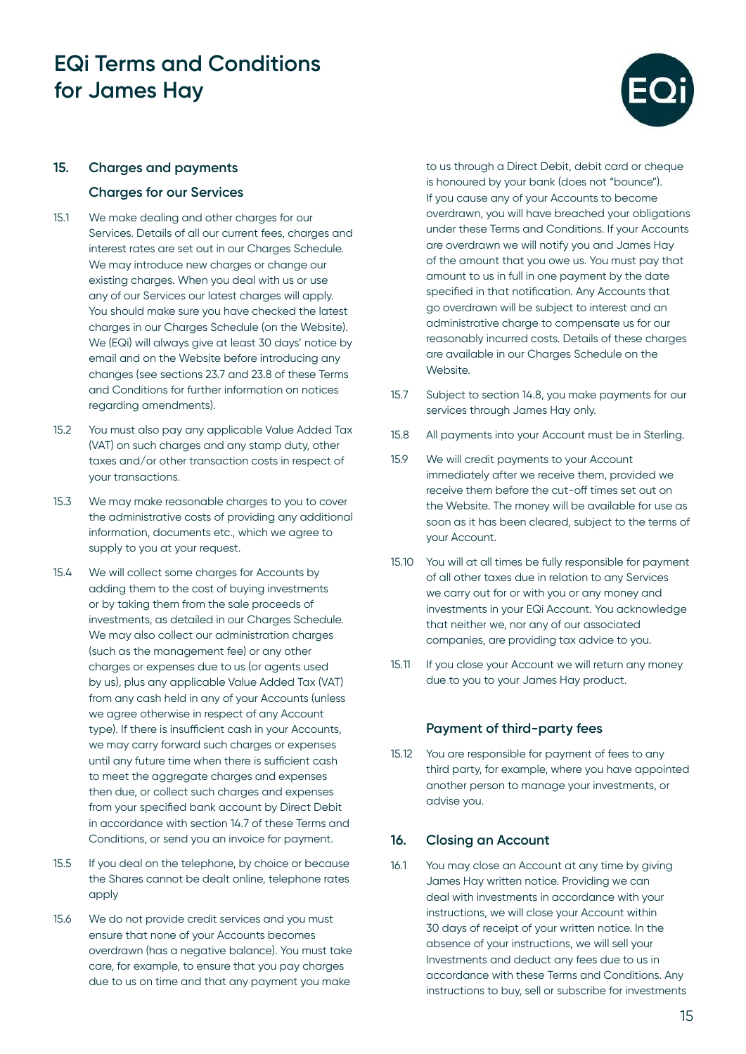

#### **15. Charges and payments**

#### **Charges for our Services**

- 15.1 We make dealing and other charges for our Services. Details of all our current fees, charges and interest rates are set out in our Charges Schedule. We may introduce new charges or change our existing charges. When you deal with us or use any of our Services our latest charges will apply. You should make sure you have checked the latest charges in our Charges Schedule (on the Website). We (EQi) will always give at least 30 days' notice by email and on the Website before introducing any changes (see sections 23.7 and 23.8 of these Terms and Conditions for further information on notices regarding amendments).
- 15.2 You must also pay any applicable Value Added Tax (VAT) on such charges and any stamp duty, other taxes and/or other transaction costs in respect of your transactions.
- 15.3 We may make reasonable charges to you to cover the administrative costs of providing any additional information, documents etc., which we agree to supply to you at your request.
- 15.4 We will collect some charges for Accounts by adding them to the cost of buying investments or by taking them from the sale proceeds of investments, as detailed in our Charges Schedule. We may also collect our administration charges (such as the management fee) or any other charges or expenses due to us (or agents used by us), plus any applicable Value Added Tax (VAT) from any cash held in any of your Accounts (unless we agree otherwise in respect of any Account type). If there is insufficient cash in your Accounts, we may carry forward such charges or expenses until any future time when there is sufficient cash to meet the aggregate charges and expenses then due, or collect such charges and expenses from your specified bank account by Direct Debit in accordance with section 14.7 of these Terms and Conditions, or send you an invoice for payment.
- 15.5 If you deal on the telephone, by choice or because the Shares cannot be dealt online, telephone rates apply
- 15.6 We do not provide credit services and you must ensure that none of your Accounts becomes overdrawn (has a negative balance). You must take care, for example, to ensure that you pay charges due to us on time and that any payment you make

to us through a Direct Debit, debit card or cheque is honoured by your bank (does not "bounce"). If you cause any of your Accounts to become overdrawn, you will have breached your obligations under these Terms and Conditions. If your Accounts are overdrawn we will notify you and James Hay of the amount that you owe us. You must pay that amount to us in full in one payment by the date specified in that notification. Any Accounts that go overdrawn will be subject to interest and an administrative charge to compensate us for our reasonably incurred costs. Details of these charges are available in our Charges Schedule on the Website.

- 15.7 Subject to section 14.8, you make payments for our services through James Hay only.
- 15.8 All payments into your Account must be in Sterling.
- 15.9 We will credit payments to your Account immediately after we receive them, provided we receive them before the cut-off times set out on the Website. The money will be available for use as soon as it has been cleared, subject to the terms of your Account.
- 15.10 You will at all times be fully responsible for payment of all other taxes due in relation to any Services we carry out for or with you or any money and investments in your EQi Account. You acknowledge that neither we, nor any of our associated companies, are providing tax advice to you.
- 15.11 If you close your Account we will return any money due to you to your James Hay product.

#### **Payment of third-party fees**

15.12 You are responsible for payment of fees to any third party, for example, where you have appointed another person to manage your investments, or advise you.

#### **16. Closing an Account**

16.1 You may close an Account at any time by giving James Hay written notice. Providing we can deal with investments in accordance with your instructions, we will close your Account within 30 days of receipt of your written notice. In the absence of your instructions, we will sell your Investments and deduct any fees due to us in accordance with these Terms and Conditions. Any instructions to buy, sell or subscribe for investments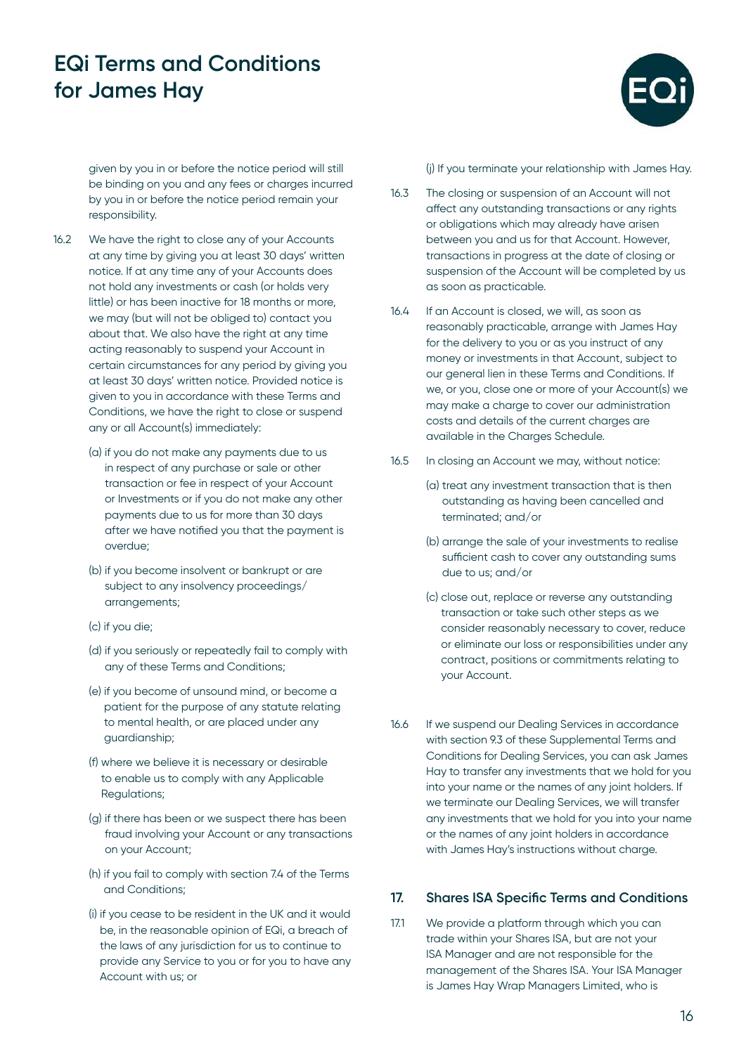

given by you in or before the notice period will still be binding on you and any fees or charges incurred by you in or before the notice period remain your responsibility.

- 16.2 We have the right to close any of your Accounts at any time by giving you at least 30 days' written notice. If at any time any of your Accounts does not hold any investments or cash (or holds very little) or has been inactive for 18 months or more, we may (but will not be obliged to) contact you about that. We also have the right at any time acting reasonably to suspend your Account in certain circumstances for any period by giving you at least 30 days' written notice. Provided notice is given to you in accordance with these Terms and Conditions, we have the right to close or suspend any or all Account(s) immediately:
	- (a) if you do not make any payments due to us in respect of any purchase or sale or other transaction or fee in respect of your Account or Investments or if you do not make any other payments due to us for more than 30 days after we have notified you that the payment is overdue;
	- (b) if you become insolvent or bankrupt or are subject to any insolvency proceedings/ arrangements;
	- (c) if you die;
	- (d) if you seriously or repeatedly fail to comply with any of these Terms and Conditions;
	- (e) if you become of unsound mind, or become a patient for the purpose of any statute relating to mental health, or are placed under any guardianship;
	- (f) where we believe it is necessary or desirable to enable us to comply with any Applicable Regulations;
	- (g) if there has been or we suspect there has been fraud involving your Account or any transactions on your Account;
	- (h) if you fail to comply with section 7.4 of the Terms and Conditions;
	- (i) if you cease to be resident in the UK and it would be, in the reasonable opinion of EQi, a breach of the laws of any jurisdiction for us to continue to provide any Service to you or for you to have any Account with us; or

(j) If you terminate your relationship with James Hay.

- 16.3 The closing or suspension of an Account will not affect any outstanding transactions or any rights or obligations which may already have arisen between you and us for that Account. However, transactions in progress at the date of closing or suspension of the Account will be completed by us as soon as practicable.
- 16.4 If an Account is closed, we will, as soon as reasonably practicable, arrange with James Hay for the delivery to you or as you instruct of any money or investments in that Account, subject to our general lien in these Terms and Conditions. If we, or you, close one or more of your Account(s) we may make a charge to cover our administration costs and details of the current charges are available in the Charges Schedule.
- 16.5 In closing an Account we may, without notice:
	- (a) treat any investment transaction that is then outstanding as having been cancelled and terminated; and/or
	- (b) arrange the sale of your investments to realise sufficient cash to cover any outstanding sums due to us; and/or
	- (c) close out, replace or reverse any outstanding transaction or take such other steps as we consider reasonably necessary to cover, reduce or eliminate our loss or responsibilities under any contract, positions or commitments relating to your Account.
- 16.6 If we suspend our Dealing Services in accordance with section 9.3 of these Supplemental Terms and Conditions for Dealing Services, you can ask James Hay to transfer any investments that we hold for you into your name or the names of any joint holders. If we terminate our Dealing Services, we will transfer any investments that we hold for you into your name or the names of any joint holders in accordance with James Hay's instructions without charge.

### **17. Shares ISA Specific Terms and Conditions**

17.1 We provide a platform through which you can trade within your Shares ISA, but are not your ISA Manager and are not responsible for the management of the Shares ISA. Your ISA Manager is James Hay Wrap Managers Limited, who is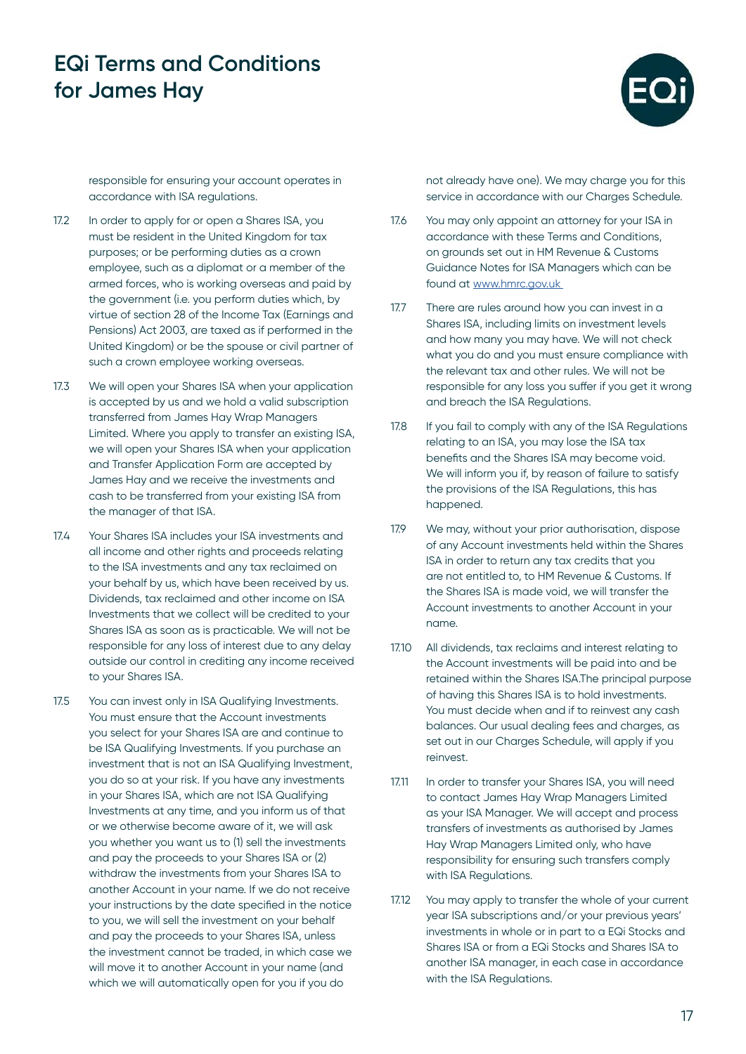

responsible for ensuring your account operates in accordance with ISA regulations.

- 17.2 In order to apply for or open a Shares ISA, you must be resident in the United Kingdom for tax purposes; or be performing duties as a crown employee, such as a diplomat or a member of the armed forces, who is working overseas and paid by the government (i.e. you perform duties which, by virtue of section 28 of the Income Tax (Earnings and Pensions) Act 2003, are taxed as if performed in the United Kingdom) or be the spouse or civil partner of such a crown employee working overseas.
- 17.3 We will open your Shares ISA when your application is accepted by us and we hold a valid subscription transferred from James Hay Wrap Managers Limited. Where you apply to transfer an existing ISA, we will open your Shares ISA when your application and Transfer Application Form are accepted by James Hay and we receive the investments and cash to be transferred from your existing ISA from the manager of that ISA.
- 17.4 Your Shares ISA includes your ISA investments and all income and other rights and proceeds relating to the ISA investments and any tax reclaimed on your behalf by us, which have been received by us. Dividends, tax reclaimed and other income on ISA Investments that we collect will be credited to your Shares ISA as soon as is practicable. We will not be responsible for any loss of interest due to any delay outside our control in crediting any income received to your Shares ISA.
- 17.5 You can invest only in ISA Qualifying Investments. You must ensure that the Account investments you select for your Shares ISA are and continue to be ISA Qualifying Investments. If you purchase an investment that is not an ISA Qualifying Investment, you do so at your risk. If you have any investments in your Shares ISA, which are not ISA Qualifying Investments at any time, and you inform us of that or we otherwise become aware of it, we will ask you whether you want us to (1) sell the investments and pay the proceeds to your Shares ISA or (2) withdraw the investments from your Shares ISA to another Account in your name. If we do not receive your instructions by the date specified in the notice to you, we will sell the investment on your behalf and pay the proceeds to your Shares ISA, unless the investment cannot be traded, in which case we will move it to another Account in your name (and which we will automatically open for you if you do

not already have one). We may charge you for this service in accordance with our Charges Schedule.

- 17.6 You may only appoint an attorney for your ISA in accordance with these Terms and Conditions, on grounds set out in HM Revenue & Customs Guidance Notes for ISA Managers which can be found at [www.hmrc.gov.uk](http://www.hmrc.gov.uk )
- 17.7 There are rules around how you can invest in a Shares ISA, including limits on investment levels and how many you may have. We will not check what you do and you must ensure compliance with the relevant tax and other rules. We will not be responsible for any loss you suffer if you get it wrong and breach the ISA Regulations.
- 17.8 If you fail to comply with any of the ISA Regulations relating to an ISA, you may lose the ISA tax benefits and the Shares ISA may become void. We will inform you if, by reason of failure to satisfy the provisions of the ISA Regulations, this has happened.
- 17.9 We may, without your prior authorisation, dispose of any Account investments held within the Shares ISA in order to return any tax credits that you are not entitled to, to HM Revenue & Customs. If the Shares ISA is made void, we will transfer the Account investments to another Account in your name.
- 17.10 All dividends, tax reclaims and interest relating to the Account investments will be paid into and be retained within the Shares ISA.The principal purpose of having this Shares ISA is to hold investments. You must decide when and if to reinvest any cash balances. Our usual dealing fees and charges, as set out in our Charges Schedule, will apply if you reinvest.
- 17.11 In order to transfer your Shares ISA, you will need to contact James Hay Wrap Managers Limited as your ISA Manager. We will accept and process transfers of investments as authorised by James Hay Wrap Managers Limited only, who have responsibility for ensuring such transfers comply with ISA Regulations.
- 17.12 You may apply to transfer the whole of your current year ISA subscriptions and/or your previous years' investments in whole or in part to a EQi Stocks and Shares ISA or from a EQi Stocks and Shares ISA to another ISA manager, in each case in accordance with the ISA Regulations.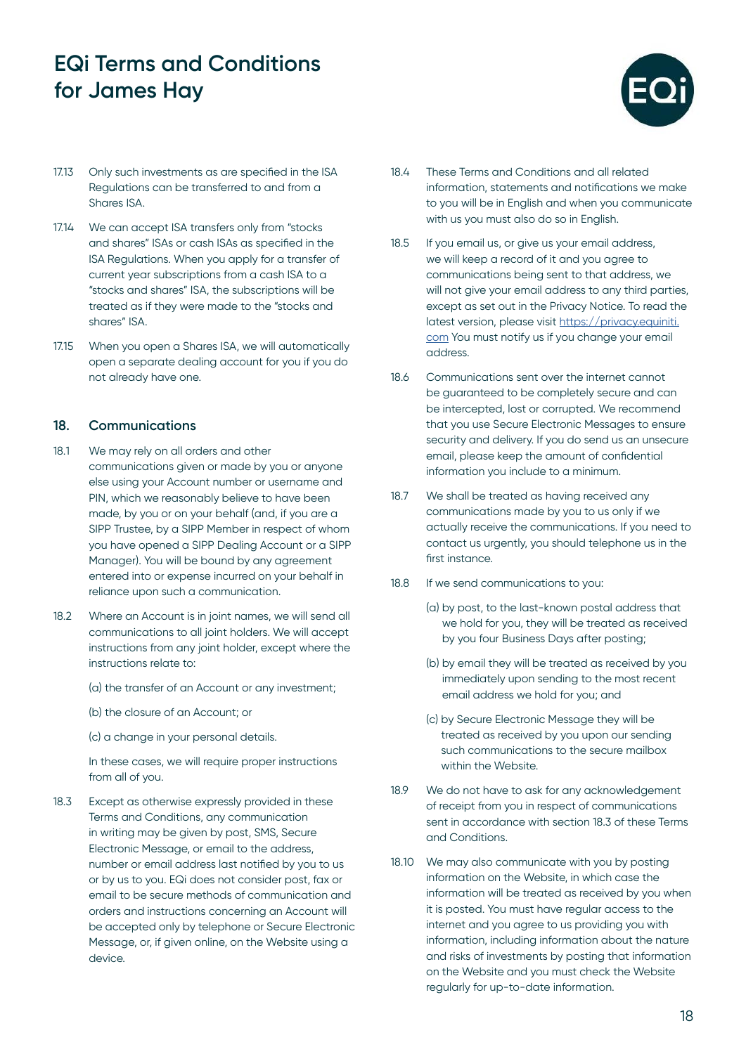

- 17.13 Only such investments as are specified in the ISA Regulations can be transferred to and from a Shares ISA.
- 17.14 We can accept ISA transfers only from "stocks and shares" ISAs or cash ISAs as specified in the ISA Regulations. When you apply for a transfer of current year subscriptions from a cash ISA to a "stocks and shares" ISA, the subscriptions will be treated as if they were made to the "stocks and shares" ISA.
- 17.15 When you open a Shares ISA, we will automatically open a separate dealing account for you if you do not already have one.

#### **18. Communications**

- 18.1 We may rely on all orders and other communications given or made by you or anyone else using your Account number or username and PIN, which we reasonably believe to have been made, by you or on your behalf (and, if you are a SIPP Trustee, by a SIPP Member in respect of whom you have opened a SIPP Dealing Account or a SIPP Manager). You will be bound by any agreement entered into or expense incurred on your behalf in reliance upon such a communication.
- 18.2 Where an Account is in joint names, we will send all communications to all joint holders. We will accept instructions from any joint holder, except where the instructions relate to:
	- (a) the transfer of an Account or any investment;
	- (b) the closure of an Account; or
	- (c) a change in your personal details.

In these cases, we will require proper instructions from all of you.

18.3 Except as otherwise expressly provided in these Terms and Conditions, any communication in writing may be given by post, SMS, Secure Electronic Message, or email to the address, number or email address last notified by you to us or by us to you. EQi does not consider post, fax or email to be secure methods of communication and orders and instructions concerning an Account will be accepted only by telephone or Secure Electronic Message, or, if given online, on the Website using a device.

- 18.4 These Terms and Conditions and all related information, statements and notifications we make to you will be in English and when you communicate with us you must also do so in English.
- 18.5 If you email us, or give us your email address, we will keep a record of it and you agree to communications being sent to that address, we will not give your email address to any third parties, except as set out in the Privacy Notice. To read the latest version, please visit [https://privacy.equiniti.](https://privacy.equiniti.com) [com](https://privacy.equiniti.com) You must notify us if you change your email address.
- 18.6 Communications sent over the internet cannot be guaranteed to be completely secure and can be intercepted, lost or corrupted. We recommend that you use Secure Electronic Messages to ensure security and delivery. If you do send us an unsecure email, please keep the amount of confidential information you include to a minimum.
- 18.7 We shall be treated as having received any communications made by you to us only if we actually receive the communications. If you need to contact us urgently, you should telephone us in the first instance.
- 18.8 If we send communications to you:
	- (a) by post, to the last-known postal address that we hold for you, they will be treated as received by you four Business Days after posting;
	- (b) by email they will be treated as received by you immediately upon sending to the most recent email address we hold for you; and
	- (c) by Secure Electronic Message they will be treated as received by you upon our sending such communications to the secure mailbox within the Website.
- 18.9 We do not have to ask for any acknowledgement of receipt from you in respect of communications sent in accordance with section 18.3 of these Terms and Conditions.
- 18.10 We may also communicate with you by posting information on the Website, in which case the information will be treated as received by you when it is posted. You must have regular access to the internet and you agree to us providing you with information, including information about the nature and risks of investments by posting that information on the Website and you must check the Website regularly for up-to-date information.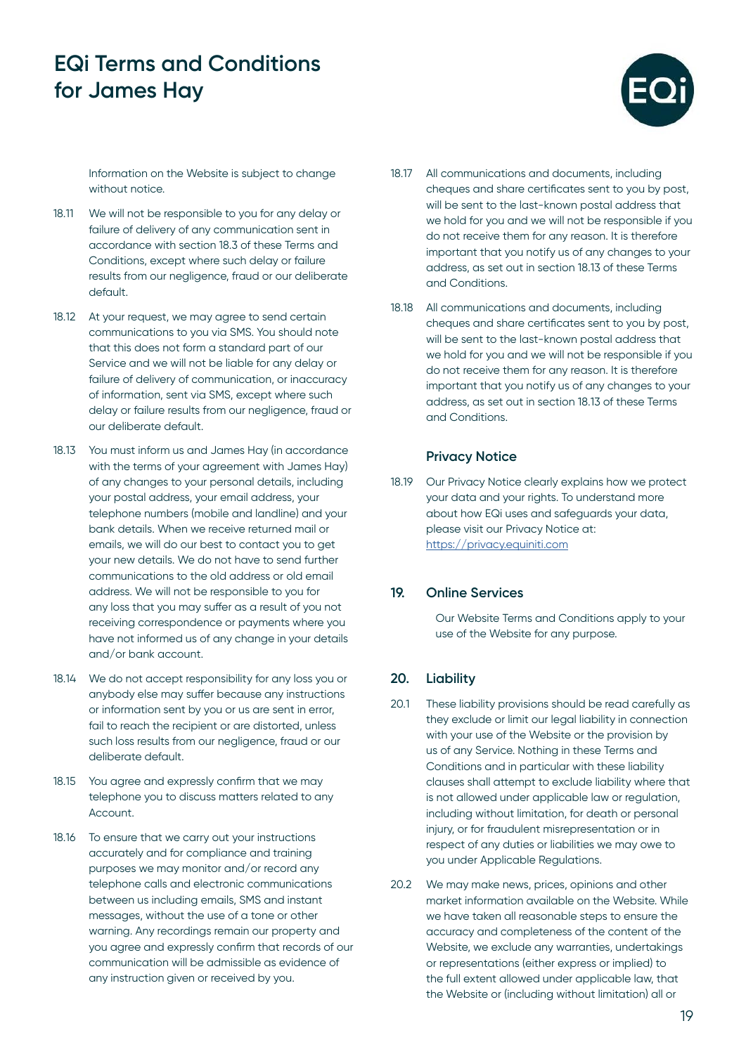

Information on the Website is subject to change without notice.

- 18.11 We will not be responsible to you for any delay or failure of delivery of any communication sent in accordance with section 18.3 of these Terms and Conditions, except where such delay or failure results from our negligence, fraud or our deliberate default.
- 18.12 At your request, we may agree to send certain communications to you via SMS. You should note that this does not form a standard part of our Service and we will not be liable for any delay or failure of delivery of communication, or inaccuracy of information, sent via SMS, except where such delay or failure results from our negligence, fraud or our deliberate default.
- 18.13 You must inform us and James Hay (in accordance with the terms of your agreement with James Hay) of any changes to your personal details, including your postal address, your email address, your telephone numbers (mobile and landline) and your bank details. When we receive returned mail or emails, we will do our best to contact you to get your new details. We do not have to send further communications to the old address or old email address. We will not be responsible to you for any loss that you may suffer as a result of you not receiving correspondence or payments where you have not informed us of any change in your details and/or bank account.
- 18.14 We do not accept responsibility for any loss you or anybody else may suffer because any instructions or information sent by you or us are sent in error, fail to reach the recipient or are distorted, unless such loss results from our negligence, fraud or our deliberate default.
- 18.15 You agree and expressly confirm that we may telephone you to discuss matters related to any Account.
- 18.16 To ensure that we carry out your instructions accurately and for compliance and training purposes we may monitor and/or record any telephone calls and electronic communications between us including emails, SMS and instant messages, without the use of a tone or other warning. Any recordings remain our property and you agree and expressly confirm that records of our communication will be admissible as evidence of any instruction given or received by you.
- 18.17 All communications and documents, including cheques and share certificates sent to you by post, will be sent to the last-known postal address that we hold for you and we will not be responsible if you do not receive them for any reason. It is therefore important that you notify us of any changes to your address, as set out in section 18.13 of these Terms and Conditions.
- 18.18 All communications and documents, including cheques and share certificates sent to you by post, will be sent to the last-known postal address that we hold for you and we will not be responsible if you do not receive them for any reason. It is therefore important that you notify us of any changes to your address, as set out in section 18.13 of these Terms and Conditions.

### **Privacy Notice**

18.19 Our Privacy Notice clearly explains how we protect your data and your rights. To understand more about how EQi uses and safeguards your data, please visit our Privacy Notice at: <https://privacy.equiniti.com>

### **19. Online Services**

Our Website Terms and Conditions apply to your use of the Website for any purpose.

### **20. Liability**

- 20.1 These liability provisions should be read carefully as they exclude or limit our legal liability in connection with your use of the Website or the provision by us of any Service. Nothing in these Terms and Conditions and in particular with these liability clauses shall attempt to exclude liability where that is not allowed under applicable law or regulation, including without limitation, for death or personal injury, or for fraudulent misrepresentation or in respect of any duties or liabilities we may owe to you under Applicable Regulations.
- 20.2 We may make news, prices, opinions and other market information available on the Website. While we have taken all reasonable steps to ensure the accuracy and completeness of the content of the Website, we exclude any warranties, undertakings or representations (either express or implied) to the full extent allowed under applicable law, that the Website or (including without limitation) all or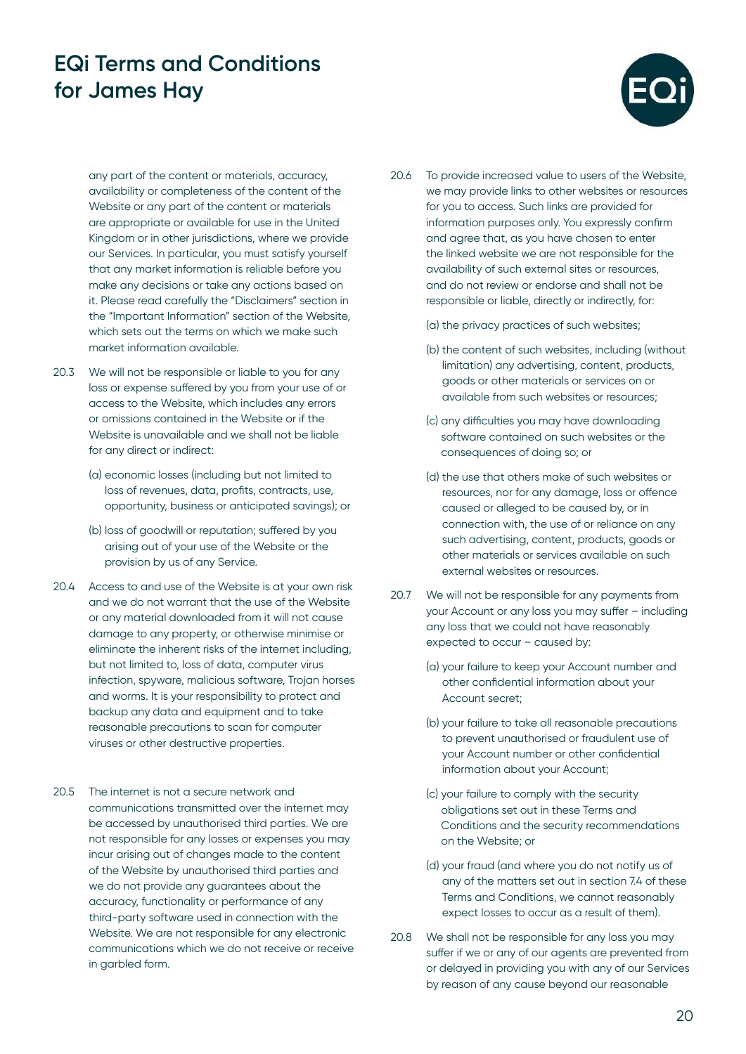

any part of the content or materials, accuracy, availability or completeness of the content of the Website or any part of the content or materials are appropriate or available for use in the United Kingdom or in other jurisdictions, where we provide our Services. In particular, you must satisfy yourself that any market information is reliable before you make any decisions or take any actions based on it. Please read carefully the "Disclaimers" section in the "Important Information" section of the Website, which sets out the terms on which we make such market information available.

- 20.3 We will not be responsible or liable to you for any loss or expense suffered by you from your use of or access to the Website, which includes any errors or omissions contained in the Website or if the Website is unavailable and we shall not be liable for any direct or indirect:
	- (a) economic losses (including but not limited to loss of revenues, data, profits, contracts, use, opportunity, business or anticipated savings); or
	- (b) loss of goodwill or reputation; suffered by you arising out of your use of the Website or the provision by us of any Service.
- 20.4 Access to and use of the Website is at your own risk and we do not warrant that the use of the Website or any material downloaded from it will not cause damage to any property, or otherwise minimise or eliminate the inherent risks of the internet including, but not limited to, loss of data, computer virus infection, spyware, malicious software, Trojan horses and worms. It is your responsibility to protect and backup any data and equipment and to take reasonable precautions to scan for computer viruses or other destructive properties.
- 20.5 The internet is not a secure network and communications transmitted over the internet may be accessed by unauthorised third parties. We are not responsible for any losses or expenses you may incur arising out of changes made to the content of the Website by unauthorised third parties and we do not provide any guarantees about the accuracy, functionality or performance of any third-party software used in connection with the Website. We are not responsible for any electronic communications which we do not receive or receive in garbled form.

20.6 To provide increased value to users of the Website, we may provide links to other websites or resources for you to access. Such links are provided for information purposes only. You expressly confirm and agree that, as you have chosen to enter the linked website we are not responsible for the availability of such external sites or resources, and do not review or endorse and shall not be responsible or liable, directly or indirectly, for:

(a) the privacy practices of such websites;

- (b) the content of such websites, including (without limitation) any advertising, content, products, goods or other materials or services on or available from such websites or resources;
- (c) any difficulties you may have downloading software contained on such websites or the consequences of doing so; or
- (d) the use that others make of such websites or resources, nor for any damage, loss or offence caused or alleged to be caused by, or in connection with, the use of or reliance on any such advertising, content, products, goods or other materials or services available on such external websites or resources.
- 20.7 We will not be responsible for any payments from your Account or any loss you may suffer – including any loss that we could not have reasonably expected to occur – caused by:
	- (a) your failure to keep your Account number and other confidential information about your Account secret;
	- (b) your failure to take all reasonable precautions to prevent unauthorised or fraudulent use of your Account number or other confidential information about your Account;
	- (c) your failure to comply with the security obligations set out in these Terms and Conditions and the security recommendations on the Website; or
	- (d) your fraud (and where you do not notify us of any of the matters set out in section 7.4 of these Terms and Conditions, we cannot reasonably expect losses to occur as a result of them).
- 20.8 We shall not be responsible for any loss you may suffer if we or any of our agents are prevented from or delayed in providing you with any of our Services by reason of any cause beyond our reasonable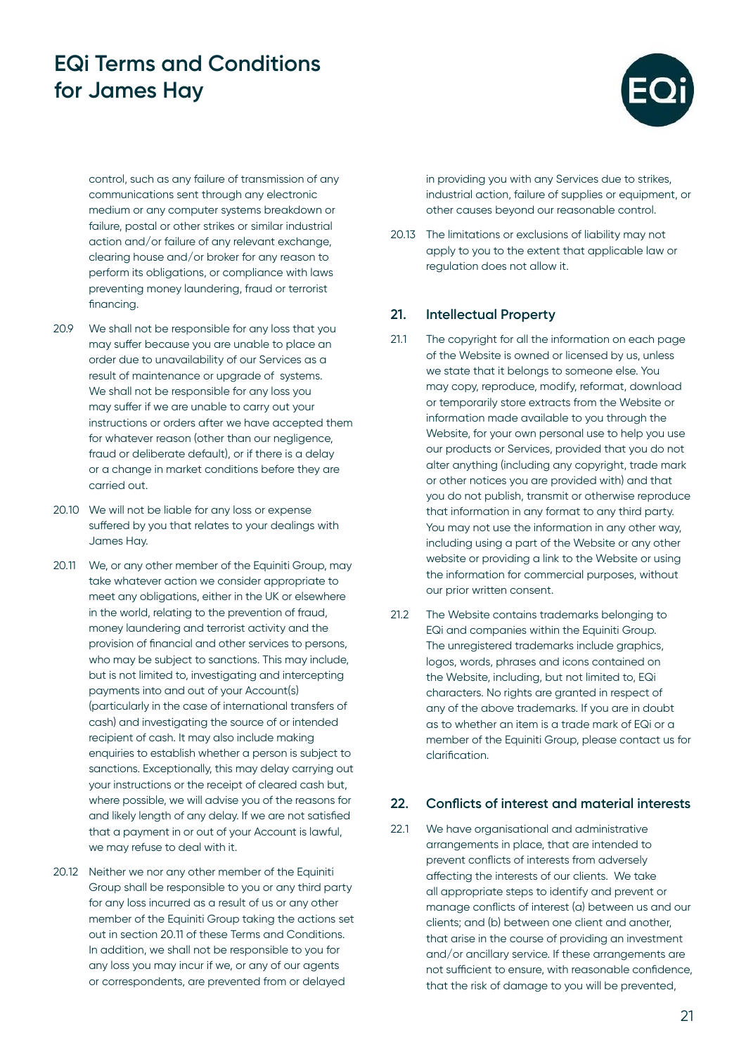

control, such as any failure of transmission of any communications sent through any electronic medium or any computer systems breakdown or failure, postal or other strikes or similar industrial action and/or failure of any relevant exchange, clearing house and/or broker for any reason to perform its obligations, or compliance with laws preventing money laundering, fraud or terrorist financing.

- 20.9 We shall not be responsible for any loss that you may suffer because you are unable to place an order due to unavailability of our Services as a result of maintenance or upgrade of systems. We shall not be responsible for any loss you may suffer if we are unable to carry out your instructions or orders after we have accepted them for whatever reason (other than our negligence, fraud or deliberate default), or if there is a delay or a change in market conditions before they are carried out.
- 20.10 We will not be liable for any loss or expense suffered by you that relates to your dealings with James Hay.
- 20.11 We, or any other member of the Equiniti Group, may take whatever action we consider appropriate to meet any obligations, either in the UK or elsewhere in the world, relating to the prevention of fraud, money laundering and terrorist activity and the provision of financial and other services to persons, who may be subject to sanctions. This may include, but is not limited to, investigating and intercepting payments into and out of your Account(s) (particularly in the case of international transfers of cash) and investigating the source of or intended recipient of cash. It may also include making enquiries to establish whether a person is subject to sanctions. Exceptionally, this may delay carrying out your instructions or the receipt of cleared cash but, where possible, we will advise you of the reasons for and likely length of any delay. If we are not satisfied that a payment in or out of your Account is lawful, we may refuse to deal with it.
- 20.12 Neither we nor any other member of the Equiniti Group shall be responsible to you or any third party for any loss incurred as a result of us or any other member of the Equiniti Group taking the actions set out in section 20.11 of these Terms and Conditions. In addition, we shall not be responsible to you for any loss you may incur if we, or any of our agents or correspondents, are prevented from or delayed

in providing you with any Services due to strikes, industrial action, failure of supplies or equipment, or other causes beyond our reasonable control.

20.13 The limitations or exclusions of liability may not apply to you to the extent that applicable law or regulation does not allow it.

### **21. Intellectual Property**

- 21.1 The copyright for all the information on each page of the Website is owned or licensed by us, unless we state that it belongs to someone else. You may copy, reproduce, modify, reformat, download or temporarily store extracts from the Website or information made available to you through the Website, for your own personal use to help you use our products or Services, provided that you do not alter anything (including any copyright, trade mark or other notices you are provided with) and that you do not publish, transmit or otherwise reproduce that information in any format to any third party. You may not use the information in any other way, including using a part of the Website or any other website or providing a link to the Website or using the information for commercial purposes, without our prior written consent.
- 21.2 The Website contains trademarks belonging to EQi and companies within the Equiniti Group. The unregistered trademarks include graphics, logos, words, phrases and icons contained on the Website, including, but not limited to, EQi characters. No rights are granted in respect of any of the above trademarks. If you are in doubt as to whether an item is a trade mark of EQi or a member of the Equiniti Group, please contact us for clarification.

### **22. Conflicts of interest and material interests**

22.1 We have organisational and administrative arrangements in place, that are intended to prevent conflicts of interests from adversely affecting the interests of our clients. We take all appropriate steps to identify and prevent or manage conflicts of interest (a) between us and our clients; and (b) between one client and another, that arise in the course of providing an investment and/or ancillary service. If these arrangements are not sufficient to ensure, with reasonable confidence, that the risk of damage to you will be prevented,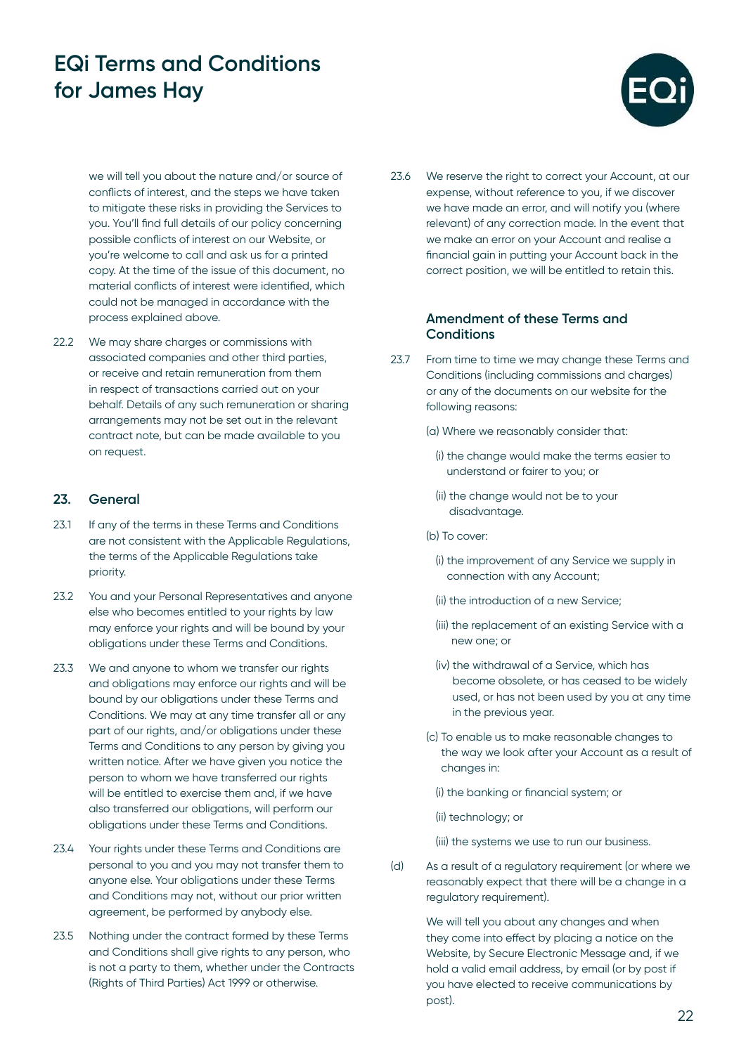

we will tell you about the nature and/or source of conflicts of interest, and the steps we have taken to mitigate these risks in providing the Services to you. You'll find full details of our policy concerning possible conflicts of interest on our Website, or you're welcome to call and ask us for a printed copy. At the time of the issue of this document, no material conflicts of interest were identified, which could not be managed in accordance with the process explained above.

22.2 We may share charges or commissions with associated companies and other third parties, or receive and retain remuneration from them in respect of transactions carried out on your behalf. Details of any such remuneration or sharing arrangements may not be set out in the relevant contract note, but can be made available to you on request.

### **23. General**

- 23.1 If any of the terms in these Terms and Conditions are not consistent with the Applicable Regulations, the terms of the Applicable Regulations take priority.
- 23.2 You and your Personal Representatives and anyone else who becomes entitled to your rights by law may enforce your rights and will be bound by your obligations under these Terms and Conditions.
- 23.3 We and anyone to whom we transfer our rights and obligations may enforce our rights and will be bound by our obligations under these Terms and Conditions. We may at any time transfer all or any part of our rights, and/or obligations under these Terms and Conditions to any person by giving you written notice. After we have given you notice the person to whom we have transferred our rights will be entitled to exercise them and, if we have also transferred our obligations, will perform our obligations under these Terms and Conditions.
- 23.4 Your rights under these Terms and Conditions are personal to you and you may not transfer them to anyone else. Your obligations under these Terms and Conditions may not, without our prior written agreement, be performed by anybody else.
- 23.5 Nothing under the contract formed by these Terms and Conditions shall give rights to any person, who is not a party to them, whether under the Contracts (Rights of Third Parties) Act 1999 or otherwise.

23.6 We reserve the right to correct your Account, at our expense, without reference to you, if we discover we have made an error, and will notify you (where relevant) of any correction made. In the event that we make an error on your Account and realise a financial gain in putting your Account back in the correct position, we will be entitled to retain this.

### **Amendment of these Terms and Conditions**

23.7 From time to time we may change these Terms and Conditions (including commissions and charges) or any of the documents on our website for the following reasons:

(a) Where we reasonably consider that:

- (i) the change would make the terms easier to understand or fairer to you; or
- (ii) the change would not be to your disadvantage.
- (b) To cover:
	- (i) the improvement of any Service we supply in connection with any Account;
	- (ii) the introduction of a new Service;
	- (iii) the replacement of an existing Service with a new one; or
	- (iv) the withdrawal of a Service, which has become obsolete, or has ceased to be widely used, or has not been used by you at any time in the previous year.
- (c) To enable us to make reasonable changes to the way we look after your Account as a result of changes in:

(i) the banking or financial system; or

(ii) technology; or

(iii) the systems we use to run our business.

(d) As a result of a regulatory requirement (or where we reasonably expect that there will be a change in a regulatory requirement).

> We will tell you about any changes and when they come into effect by placing a notice on the Website, by Secure Electronic Message and, if we hold a valid email address, by email (or by post if you have elected to receive communications by post).